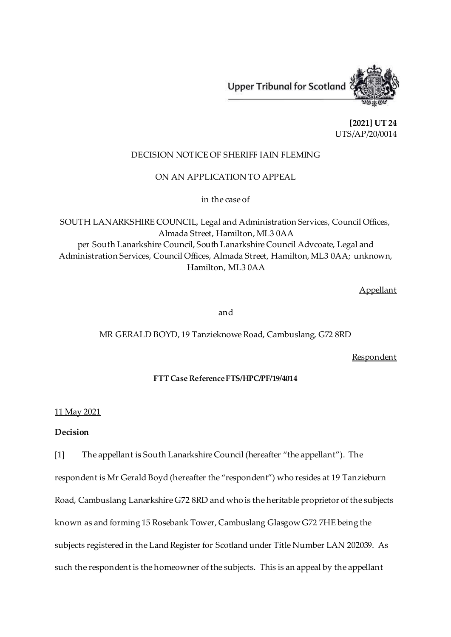

**[2021] UT 24** UTS/AP/20/0014

## DECISION NOTICE OF SHERIFF IAIN FLEMING

ON AN APPLICATION TO APPEAL

in the case of

SOUTH LANARKSHIRE COUNCIL, Legal and Administration Services, Council Offices, Almada Street, Hamilton, ML3 0AA per South Lanarkshire Council, South Lanarkshire Council Advcoate, Legal and Administration Services, Council Offices, Almada Street, Hamilton, ML3 0AA; unknown, Hamilton, ML3 0AA

Appellant

and

## MR GERALD BOYD, 19 Tanzieknowe Road, Cambuslang, G72 8RD

**Respondent** 

## **FTT Case Reference FTS/HPC/PF/19/4014**

## 11 May 2021

## **Decision**

[1] The appellant is South Lanarkshire Council (hereafter "the appellant"). The respondent is Mr Gerald Boyd (hereafter the "respondent") who resides at 19 Tanzieburn Road, Cambuslang Lanarkshire G72 8RD and who is the heritable proprietor of the subjects known as and forming 15 Rosebank Tower, Cambuslang Glasgow G72 7HE being the subjects registered in the Land Register for Scotland under Title Number LAN 202039. As such the respondent is the homeowner of the subjects. This is an appeal by the appellant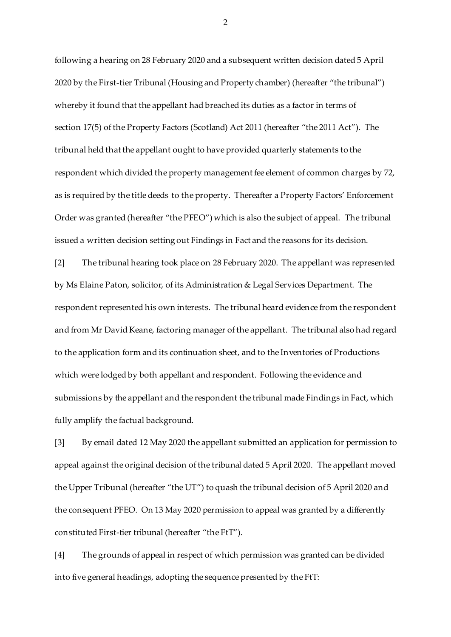following a hearing on 28 February 2020 and a subsequent written decision dated 5 April 2020 by the First-tier Tribunal (Housing and Property chamber) (hereafter "the tribunal") whereby it found that the appellant had breached its duties as a factor in terms of section 17(5) of the Property Factors (Scotland) Act 2011 (hereafter "the 2011 Act"). The tribunal held that the appellant ought to have provided quarterly statements to the respondent which divided the property management fee element of common charges by 72, as is required by the title deeds to the property. Thereafter a Property Factors' Enforcement Order was granted (hereafter "the PFEO") which is also the subject of appeal. The tribunal issued a written decision setting out Findings in Fact and the reasons for its decision.

[2] The tribunal hearing took place on 28 February 2020. The appellant was represented by Ms Elaine Paton, solicitor, of its Administration & Legal Services Department. The respondent represented his own interests. The tribunal heard evidence from the respondent and from Mr David Keane, factoring manager of the appellant. The tribunal also had regard to the application form and its continuation sheet, and to the Inventories of Productions which were lodged by both appellant and respondent. Following the evidence and submissions by the appellant and the respondent the tribunal made Findings in Fact, which fully amplify the factual background.

[3] By email dated 12 May 2020 the appellant submitted an application for permission to appeal against the original decision of the tribunal dated 5 April 2020. The appellant moved the Upper Tribunal (hereafter "the UT") to quash the tribunal decision of 5 April 2020 and the consequent PFEO. On 13 May 2020 permission to appeal was granted by a differently constituted First-tier tribunal (hereafter "the FtT").

[4] The grounds of appeal in respect of which permission was granted can be divided into five general headings, adopting the sequence presented by the FtT: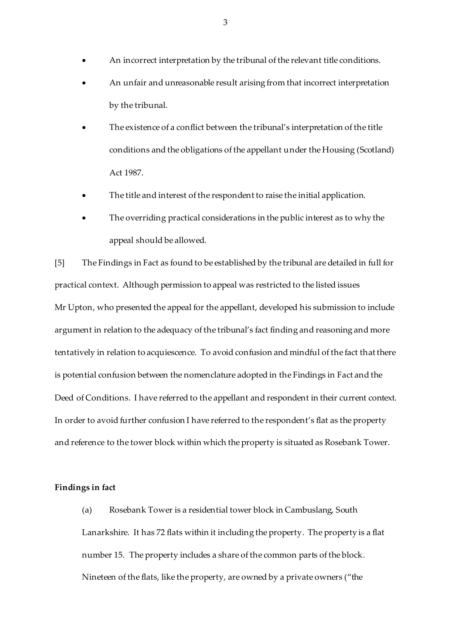- An incorrect interpretation by the tribunal of the relevant title conditions.
- An unfair and unreasonable result arising from that incorrect interpretation by the tribunal.
- The existence of a conflict between the tribunal's interpretation of the title conditions and the obligations of the appellant under the Housing (Scotland) Act 1987.
- The title and interest of the respondent to raise the initial application.
- The overriding practical considerations in the public interest as to why the appeal should be allowed.

[5] The Findings in Fact as found to be established by the tribunal are detailed in full for practical context. Although permission to appeal was restricted to the listed issues Mr Upton, who presented the appeal for the appellant, developed his submission to include argument in relation to the adequacy of the tribunal's fact finding and reasoning and more tentatively in relation to acquiescence. To avoid confusion and mindful of the fact that there is potential confusion between the nomenclature adopted in the Findings in Fact and the Deed of Conditions. I have referred to the appellant and respondent in their current context. In order to avoid further confusion I have referred to the respondent's flat as the property and reference to the tower block within which the property is situated as Rosebank Tower.

## **Findings in fact**

(a) Rosebank Tower is a residential tower block in Cambuslang, South Lanarkshire. It has 72 flats within it including the property. The property is a flat number 15. The property includes a share of the common parts of the block. Nineteen of the flats, like the property, are owned by a private owners ("the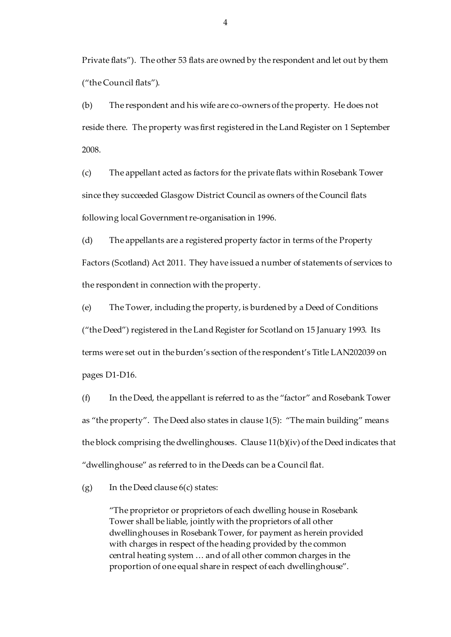Private flats"). The other 53 flats are owned by the respondent and let out by them ("the Council flats").

(b) The respondent and his wife are co-owners of the property. He does not reside there. The property was first registered in the Land Register on 1 September 2008.

(c) The appellant acted as factors for the private flats within Rosebank Tower since they succeeded Glasgow District Council as owners of the Council flats following local Government re-organisation in 1996.

(d) The appellants are a registered property factor in terms of the Property Factors (Scotland) Act 2011. They have issued a number of statements of services to the respondent in connection with the property.

(e) The Tower, including the property, is burdened by a Deed of Conditions ("the Deed") registered in the Land Register for Scotland on 15 January 1993. Its terms were set out in the burden's section of the respondent's Title LAN202039 on pages D1-D16.

(f) In the Deed, the appellant is referred to as the "factor" and Rosebank Tower as "the property". The Deed also states in clause 1(5): "The main building" means the block comprising the dwellinghouses. Clause 11(b)(iv) of the Deed indicates that "dwellinghouse" as referred to in the Deeds can be a Council flat.

(g) In the Deed clause  $6(c)$  states:

"The proprietor or proprietors of each dwelling house in Rosebank Tower shall be liable, jointly with the proprietors of all other dwellinghouses in Rosebank Tower, for payment as herein provided with charges in respect of the heading provided by the common central heating system … and of all other common charges in the proportion of one equal share in respect of each dwellinghouse".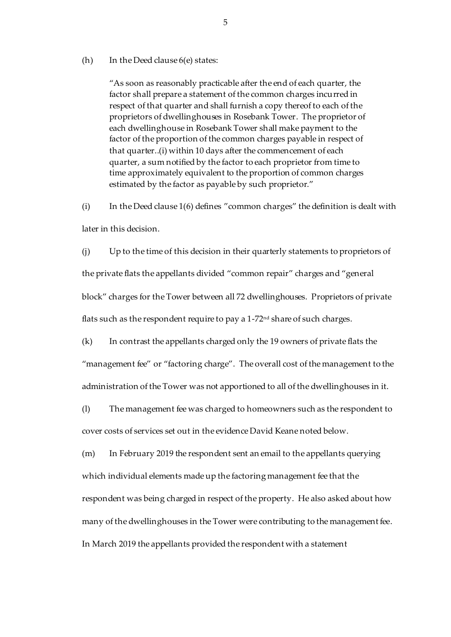#### (h) In the Deed clause 6(e) states:

"As soon as reasonably practicable after the end of each quarter, the factor shall prepare a statement of the common charges incurred in respect of that quarter and shall furnish a copy thereof to each of the proprietors of dwellinghouses in Rosebank Tower. The proprietor of each dwellinghouse in Rosebank Tower shall make payment to the factor of the proportion of the common charges payable in respect of that quarter..(i) within 10 days after the commencement of each quarter, a sum notified by the factor to each proprietor from time to time approximately equivalent to the proportion of common charges estimated by the factor as payable by such proprietor."

(i) In the Deed clause 1(6) defines "common charges" the definition is dealt with later in this decision.

(j) Up to the time of this decision in their quarterly statements to proprietors of the private flats the appellants divided "common repair" charges and "general block" charges for the Tower between all 72 dwellinghouses. Proprietors of private flats such as the respondent require to pay a 1-72<sup>nd</sup> share of such charges.

(k) In contrast the appellants charged only the 19 owners of private flats the "management fee" or "factoring charge". The overall cost of the management to the administration of the Tower was not apportioned to all of the dwellinghouses in it.

(l) The management fee was charged to homeowners such as the respondent to cover costs of services set out in the evidence David Keane noted below.

(m) In February 2019 the respondent sent an email to the appellants querying which individual elements made up the factoring management fee that the respondent was being charged in respect of the property. He also asked about how many of the dwellinghouses in the Tower were contributing to the management fee. In March 2019 the appellants provided the respondent with a statement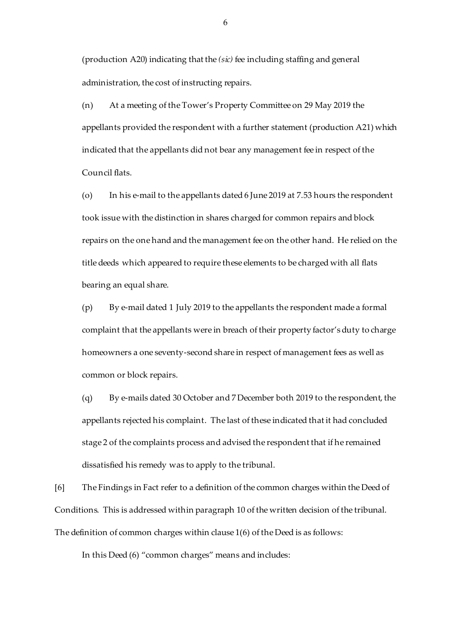(production A20) indicating that the *(sic)* fee including staffing and general administration, the cost of instructing repairs.

(n) At a meeting of the Tower's Property Committee on 29 May 2019 the appellants provided the respondent with a further statement (production A21) which indicated that the appellants did not bear any management fee in respect of the Council flats.

(o) In his e-mail to the appellants dated 6 June 2019 at 7.53 hours the respondent took issue with the distinction in shares charged for common repairs and block repairs on the one hand and the management fee on the other hand. He relied on the title deeds which appeared to require these elements to be charged with all flats bearing an equal share.

(p) By e-mail dated 1 July 2019 to the appellants the respondent made a formal complaint that the appellants were in breach of their property factor's duty to charge homeowners a one seventy-second share in respect of management fees as well as common or block repairs.

(q) By e-mails dated 30 October and 7 December both 2019 to the respondent, the appellants rejected his complaint. The last of these indicated that it had concluded stage 2 of the complaints process and advised the respondent that if he remained dissatisfied his remedy was to apply to the tribunal.

[6] The Findings in Fact refer to a definition of the common charges within the Deed of Conditions. This is addressed within paragraph 10 of the written decision of the tribunal. The definition of common charges within clause 1(6) of the Deed is as follows:

In this Deed (6) "common charges" means and includes: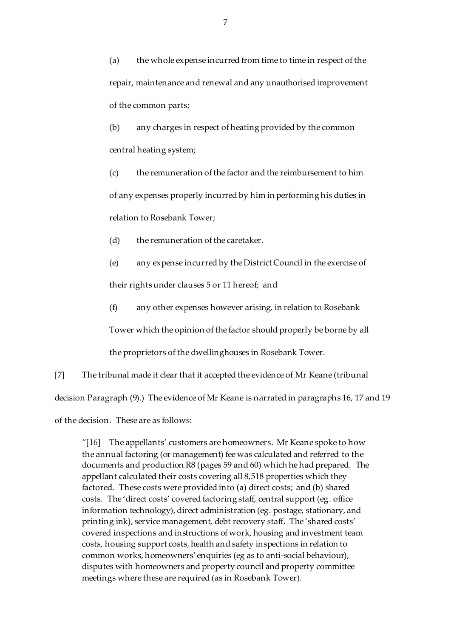(a) the whole expense incurred from time to time in respect of the repair, maintenance and renewal and any unauthorised improvement of the common parts;

(b) any charges in respect of heating provided by the common central heating system;

(c) the remuneration of the factor and the reimbursement to him of any expenses properly incurred by him in performing his duties in relation to Rosebank Tower;

(d) the remuneration of the caretaker.

(e) any expense incurred by the District Council in the exercise of

their rights under clauses 5 or 11 hereof; and

(f) any other expenses however arising, in relation to Rosebank

Tower which the opinion of the factor should properly be borne by all

the proprietors of the dwellinghouses in Rosebank Tower.

[7] The tribunal made it clear that it accepted the evidence of Mr Keane (tribunal decision Paragraph (9).) The evidence of Mr Keane is narrated in paragraphs 16, 17 and 19 of the decision. These are as follows:

"[16] The appellants' customers are homeowners. Mr Keane spoke to how the annual factoring (or management) fee was calculated and referred to the documents and production R8 (pages 59 and 60) which he had prepared. The appellant calculated their costs covering all 8,518 properties which they factored. These costs were provided into (a) direct costs; and (b) shared costs. The 'direct costs' covered factoring staff, central support (eg. office information technology), direct administration (eg. postage, stationary, and printing ink), service management, debt recovery staff. The 'shared costs' covered inspections and instructions of work, housing and investment team costs, housing support costs, health and safety inspections in relation to common works, homeowners' enquiries (eg as to anti-social behaviour), disputes with homeowners and property council and property committee meetings where these are required (as in Rosebank Tower).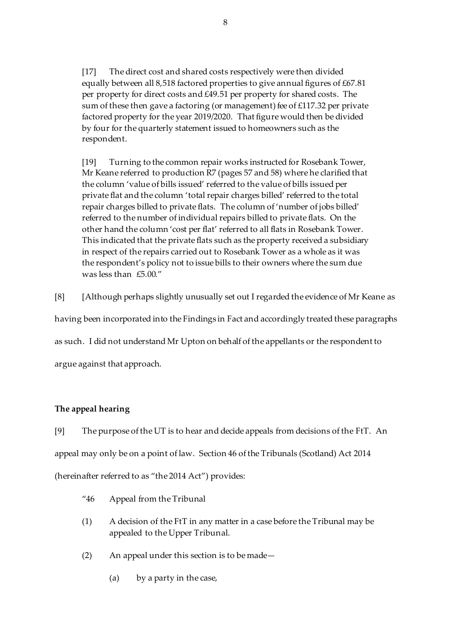[17] The direct cost and shared costs respectively were then divided equally between all 8,518 factored properties to give annual figures of £67.81 per property for direct costs and £49.51 per property for shared costs. The sum of these then gave a factoring (or management) fee of £117.32 per private factored property for the year 2019/2020. That figure would then be divided by four for the quarterly statement issued to homeowners such as the respondent.

[19] Turning to the common repair works instructed for Rosebank Tower, Mr Keane referred to production R7 (pages 57 and 58) where he clarified that the column 'value of bills issued' referred to the value of bills issued per private flat and the column 'total repair charges billed' referred to the total repair charges billed to private flats. The column of 'number of jobs billed' referred to the number of individual repairs billed to private flats. On the other hand the column 'cost per flat' referred to all flats in Rosebank Tower. This indicated that the private flats such as the property received a subsidiary in respect of the repairs carried out to Rosebank Tower as a whole as it was the respondent's policy not to issue bills to their owners where the sum due was less than £5.00."

[8] [Although perhaps slightly unusually set out I regarded the evidence of Mr Keane as

having been incorporated into the Findings in Fact and accordingly treated these paragraphs

as such. I did not understand Mr Upton on behalf of the appellants or the respondent to

argue against that approach.

## **The appeal hearing**

[9] The purpose of the UT is to hear and decide appeals from decisions of the FtT. An appeal may only be on a point of law. Section 46 of the Tribunals (Scotland) Act 2014 (hereinafter referred to as "the 2014 Act") provides:

- "46 Appeal from the Tribunal
- (1) A decision of the FtT in any matter in a case before the Tribunal may be appealed to the Upper Tribunal.
- (2) An appeal under this section is to be made—
	- (a) by a party in the case,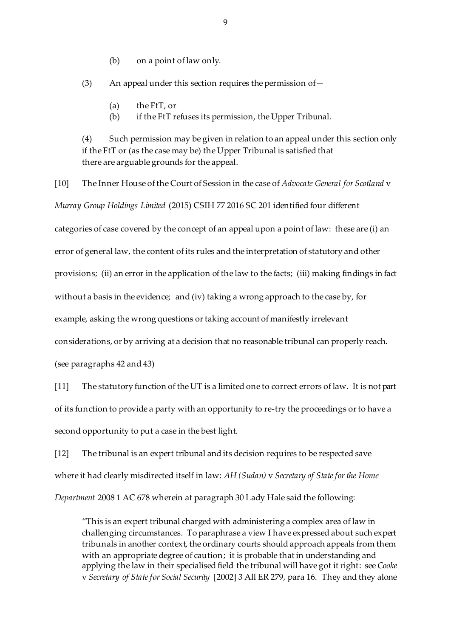(b) on a point of law only.

(3) An appeal under this section requires the permission of—

- (a) the FtT, or
- (b) if the FtT refuses its permission, the Upper Tribunal.

(4) Such permission may be given in relation to an appeal under this section only if the FtT or (as the case may be) the Upper Tribunal is satisfied that there are arguable grounds for the appeal.

[10] The Inner House of the Court of Session in the case of *Advocate General for Scotland* v *Murray Group Holdings Limited* (2015) CSIH 77 2016 SC 201 identified four different categories of case covered by the concept of an appeal upon a point of law: these are (i) an error of general law, the content of its rules and the interpretation of statutory and other provisions; (ii) an error in the application of the law to the facts; (iii) making findings in fact without a basis in the evidence; and (iv) taking a wrong approach to the case by, for example, asking the wrong questions or taking account of manifestly irrelevant considerations, or by arriving at a decision that no reasonable tribunal can properly reach. (see paragraphs 42 and 43)

[11] The statutory function of the UT is a limited one to correct errors of law. It is not part of its function to provide a party with an opportunity to re-try the proceedings or to have a second opportunity to put a case in the best light.

[12] The tribunal is an expert tribunal and its decision requires to be respected save where it had clearly misdirected itself in law: *AH (Sudan)* v *Secretary of State for the Home Department* 2008 1 AC 678 wherein at paragraph 30 Lady Hale said the following:

"This is an expert tribunal charged with administering a complex area of law in challenging circumstances. To paraphrase a view I have expressed about such expert tribunals in another context, the ordinary courts should approach appeals from them with an appropriate degree of caution; it is probable that in understanding and applying the law in their specialised field the tribunal will have got it right: see *Cooke* v *Secretary of State for Social Security* [2002] 3 All ER 279, para 16. They and they alone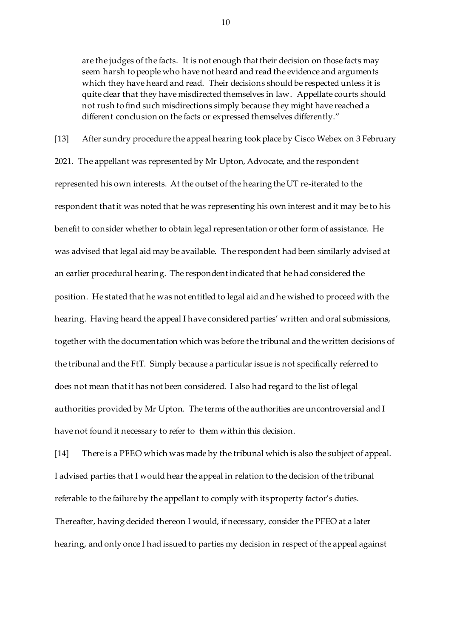are the judges of the facts. It is not enough that their decision on those facts may seem harsh to people who have not heard and read the evidence and arguments which they have heard and read. Their decisions should be respected unless it is quite clear that they have misdirected themselves in law. Appellate courts should not rush to find such misdirections simply because they might have reached a different conclusion on the facts or expressed themselves differently."

[13] After sundry procedure the appeal hearing took place by Cisco Webex on 3 February 2021. The appellant was represented by Mr Upton, Advocate, and the respondent represented his own interests. At the outset of the hearing the UT re-iterated to the respondent that it was noted that he was representing his own interest and it may be to his benefit to consider whether to obtain legal representation or other form of assistance. He was advised that legal aid may be available. The respondent had been similarly advised at an earlier procedural hearing. The respondent indicated that he had considered the position. He stated that he was not entitled to legal aid and he wished to proceed with the hearing. Having heard the appeal I have considered parties' written and oral submissions, together with the documentation which was before the tribunal and the written decisions of the tribunal and the FtT. Simply because a particular issue is not specifically referred to does not mean that it has not been considered. I also had regard to the list of legal authorities provided by Mr Upton. The terms of the authorities are uncontroversial and I have not found it necessary to refer to them within this decision.

[14] There is a PFEO which was made by the tribunal which is also the subject of appeal. I advised parties that I would hear the appeal in relation to the decision of the tribunal referable to the failure by the appellant to comply with its property factor's duties. Thereafter, having decided thereon I would, if necessary, consider the PFEO at a later hearing, and only once I had issued to parties my decision in respect of the appeal against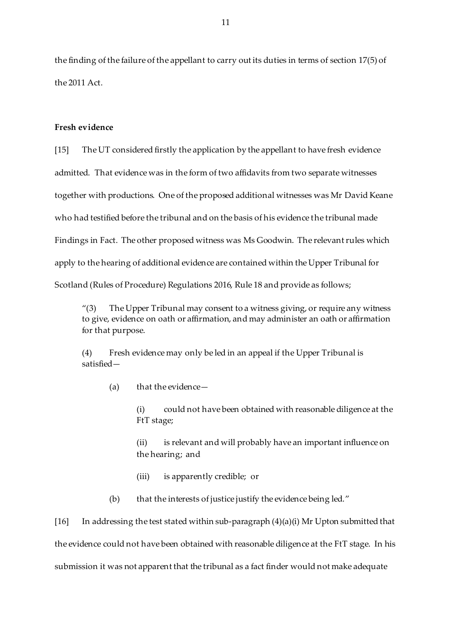the finding of the failure of the appellant to carry out its duties in terms of section 17(5) of the 2011 Act.

#### **Fresh evidence**

[15] The UT considered firstly the application by the appellant to have fresh evidence admitted. That evidence was in the form of two affidavits from two separate witnesses together with productions. One of the proposed additional witnesses was Mr David Keane who had testified before the tribunal and on the basis of his evidence the tribunal made Findings in Fact. The other proposed witness was Ms Goodwin. The relevant rules which apply to the hearing of additional evidence are contained within the Upper Tribunal for Scotland (Rules of Procedure) Regulations 2016, Rule 18 and provide as follows;

"(3) The Upper Tribunal may consent to a witness giving, or require any witness to give, evidence on oath or affirmation, and may administer an oath or affirmation for that purpose.

(4) Fresh evidence may only be led in an appeal if the Upper Tribunal is satisfied—

(a) that the evidence—

(i) could not have been obtained with reasonable diligence at the FtT stage;

(ii) is relevant and will probably have an important influence on the hearing; and

- (iii) is apparently credible; or
- (b) that the interests of justice justify the evidence being led."

[16] In addressing the test stated within sub-paragraph (4)(a)(i) Mr Upton submitted that the evidence could not have been obtained with reasonable diligence at the FtT stage. In his submission it was not apparent that the tribunal as a fact finder would not make adequate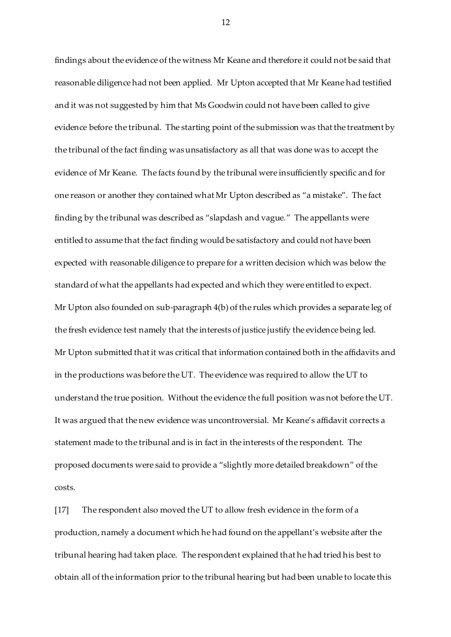findings about the evidence of the witness Mr Keane and therefore it could not be said that reasonable diligence had not been applied. Mr Upton accepted that Mr Keane had testified and it was not suggested by him that Ms Goodwin could not have been called to give evidence before the tribunal. The starting point of the submission was that the treatment by the tribunal of the fact finding was unsatisfactory as all that was done was to accept the evidence of Mr Keane. The facts found by the tribunal were insufficiently specific and for one reason or another they contained what Mr Upton described as "a mistake". The fact finding by the tribunal was described as "slapdash and vague." The appellants were entitled to assume that the fact finding would be satisfactory and could not have been expected with reasonable diligence to prepare for a written decision which was below the standard of what the appellants had expected and which they were entitled to expect. Mr Upton also founded on sub-paragraph 4(b) of the rules which provides a separate leg of the fresh evidence test namely that the interests of justice justify the evidence being led. Mr Upton submitted that it was critical that information contained both in the affidavits and in the productions was before the UT. The evidence was required to allow the UT to understand the true position. Without the evidence the full position was not before the UT. It was argued that the new evidence was uncontroversial. Mr Keane's affidavit corrects a statement made to the tribunal and is in fact in the interests of the respondent. The proposed documents were said to provide a "slightly more detailed breakdown" of the costs.

[17] The respondent also moved the UT to allow fresh evidence in the form of a production, namely a document which he had found on the appellant's website after the tribunal hearing had taken place. The respondent explained that he had tried his best to obtain all of the information prior to the tribunal hearing but had been unable to locate this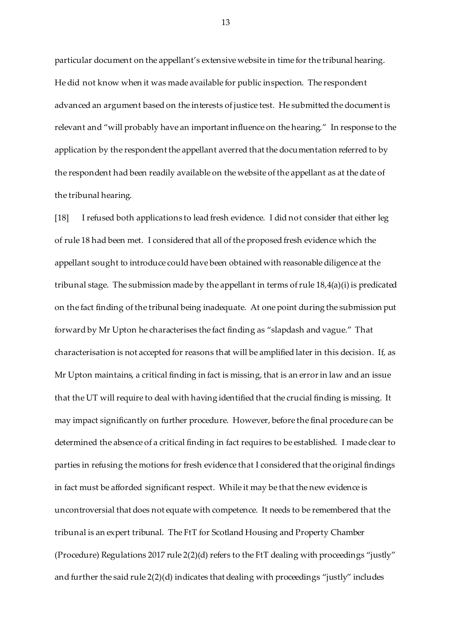particular document on the appellant's extensive website in time for the tribunal hearing. He did not know when it was made available for public inspection. The respondent advanced an argument based on the interests of justice test. He submitted the document is relevant and "will probably have an important influence on the hearing." In response to the application by the respondent the appellant averred that the documentation referred to by the respondent had been readily available on the website of the appellant as at the date of the tribunal hearing.

[18] I refused both applications to lead fresh evidence. I did not consider that either leg of rule 18 had been met. I considered that all of the proposed fresh evidence which the appellant sought to introduce could have been obtained with reasonable diligence at the tribunal stage. The submission made by the appellant in terms of rule 18,4(a)(i) is predicated on the fact finding of the tribunal being inadequate. At one point during the submission put forward by Mr Upton he characterises the fact finding as "slapdash and vague." That characterisation is not accepted for reasons that will be amplified later in this decision. If, as Mr Upton maintains, a critical finding in fact is missing, that is an error in law and an issue that the UT will require to deal with having identified that the crucial finding is missing. It may impact significantly on further procedure. However, before the final procedure can be determined the absence of a critical finding in fact requires to be established. I made clear to parties in refusing the motions for fresh evidence that I considered that the original findings in fact must be afforded significant respect. While it may be that the new evidence is uncontroversial that does not equate with competence. It needs to be remembered that the tribunal is an expert tribunal. The FtT for Scotland Housing and Property Chamber (Procedure) Regulations 2017 rule 2(2)(d) refers to the FtT dealing with proceedings "justly" and further the said rule 2(2)(d) indicates that dealing with proceedings "justly" includes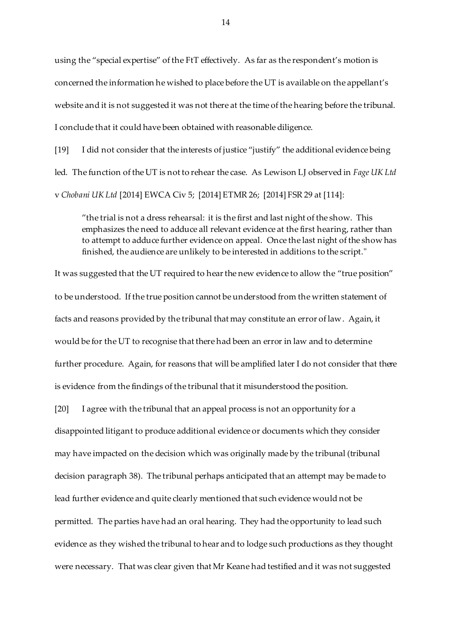using the "special expertise" of the FtT effectively. As far as the respondent's motion is concerned the information he wished to place before the UT is available on the appellant's website and it is not suggested it was not there at the time of the hearing before the tribunal. I conclude that it could have been obtained with reasonable diligence.

[19] I did not consider that the interests of justice "justify" the additional evidence being led. The function of the UT is not to rehear the case. As Lewison LJ observed in *Fage UK Ltd* v *Chobani UK Ltd* [2014] EWCA Civ 5; [2014] ETMR 26; [2014] FSR 29 at [114]:

"the trial is not a dress rehearsal: it is the first and last night of the show. This emphasizes the need to adduce all relevant evidence at the first hearing, rather than to attempt to adduce further evidence on appeal. Once the last night of the show has finished, the audience are unlikely to be interested in additions to the script."

It was suggested that the UT required to hear the new evidence to allow the "true position" to be understood. If the true position cannot be understood from the written statement of facts and reasons provided by the tribunal that may constitute an error of law. Again, it would be for the UT to recognise that there had been an error in law and to determine further procedure. Again, for reasons that will be amplified later I do not consider that there is evidence from the findings of the tribunal that it misunderstood the position.

[20] I agree with the tribunal that an appeal process is not an opportunity for a disappointed litigant to produce additional evidence or documents which they consider may have impacted on the decision which was originally made by the tribunal (tribunal decision paragraph 38). The tribunal perhaps anticipated that an attempt may be made to lead further evidence and quite clearly mentioned that such evidence would not be permitted. The parties have had an oral hearing. They had the opportunity to lead such evidence as they wished the tribunal to hear and to lodge such productions as they thought were necessary. That was clear given that Mr Keane had testified and it was not suggested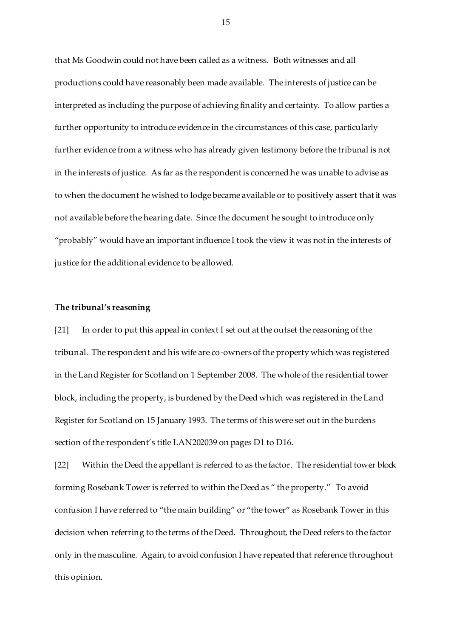that Ms Goodwin could not have been called as a witness. Both witnesses and all productions could have reasonably been made available. The interests of justice can be interpreted as including the purpose of achieving finality and certainty. To allow parties a further opportunity to introduce evidence in the circumstances of this case, particularly further evidence from a witness who has already given testimony before the tribunal is not in the interests of justice. As far as the respondent is concerned he was unable to advise as to when the document he wished to lodge became available or to positively assert that it was not available before the hearing date. Since the document he sought to introduce only "probably" would have an important influence I took the view it was not in the interests of justice for the additional evidence to be allowed.

#### **The tribunal's reasoning**

[21] In order to put this appeal in context I set out at the outset the reasoning of the tribunal. The respondent and his wife are co-owners of the property which was registered in the Land Register for Scotland on 1 September 2008. The whole of the residential tower block, including the property, is burdened by the Deed which was registered in the Land Register for Scotland on 15 January 1993. The terms of this were set out in the burdens section of the respondent's title LAN202039 on pages D1 to D16.

[22] Within the Deed the appellant is referred to as the factor. The residential tower block forming Rosebank Tower is referred to within the Deed as " the property." To avoid confusion I have referred to "the main building" or "the tower" as Rosebank Tower in this decision when referring to the terms of the Deed. Throughout, the Deed refers to the factor only in the masculine. Again, to avoid confusion I have repeated that reference throughout this opinion.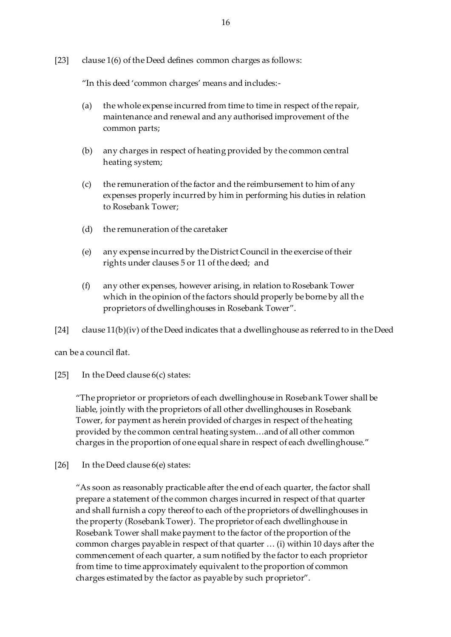[23] clause 1(6) of the Deed defines common charges as follows:

"In this deed 'common charges' means and includes:-

- (a) the whole expense incurred from time to time in respect of the repair, maintenance and renewal and any authorised improvement of the common parts;
- (b) any charges in respect of heating provided by the common central heating system;
- (c) the remuneration of the factor and the reimbursement to him of any expenses properly incurred by him in performing his duties in relation to Rosebank Tower;
- (d) the remuneration of the caretaker
- (e) any expense incurred by the District Council in the exercise of their rights under clauses 5 or 11 of the deed; and
- (f) any other expenses, however arising, in relation to Rosebank Tower which in the opinion of the factors should properly be borne by all the proprietors of dwellinghouses in Rosebank Tower".

[24] clause 11(b)(iv) of the Deed indicates that a dwellinghouse as referred to in the Deed

can be a council flat.

[25] In the Deed clause  $6(c)$  states:

"The proprietor or proprietors of each dwellinghouse in Rosebank Tower shall be liable, jointly with the proprietors of all other dwellinghouses in Rosebank Tower, for payment as herein provided of charges in respect of the heating provided by the common central heating system…and of all other common charges in the proportion of one equal share in respect of each dwellinghouse."

[26] In the Deed clause 6(e) states:

"As soon as reasonably practicable after the end of each quarter, the factor shall prepare a statement of the common charges incurred in respect of that quarter and shall furnish a copy thereof to each of the proprietors of dwellinghouses in the property (Rosebank Tower). The proprietor of each dwellinghouse in Rosebank Tower shall make payment to the factor of the proportion of the common charges payable in respect of that quarter … (i) within 10 days after the commencement of each quarter, a sum notified by the factor to each proprietor from time to time approximately equivalent to the proportion of common charges estimated by the factor as payable by such proprietor".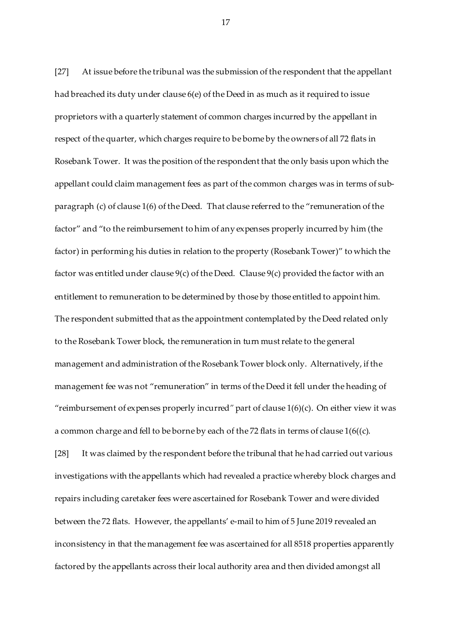[27] At issue before the tribunal was the submission of the respondent that the appellant had breached its duty under clause 6(e) of the Deed in as much as it required to issue proprietors with a quarterly statement of common charges incurred by the appellant in respect of the quarter, which charges require to be borne by the owners of all 72 flats in Rosebank Tower. It was the position of the respondent that the only basis upon which the appellant could claim management fees as part of the common charges was in terms of subparagraph (c) of clause 1(6) of the Deed. That clause referred to the "remuneration of the factor" and "to the reimbursement to him of any expenses properly incurred by him (the factor) in performing his duties in relation to the property (Rosebank Tower)" to which the factor was entitled under clause 9(c) of the Deed. Clause 9(c) provided the factor with an entitlement to remuneration to be determined by those by those entitled to appoint him. The respondent submitted that as the appointment contemplated by the Deed related only to the Rosebank Tower block, the remuneration in turn must relate to the general management and administration of the Rosebank Tower block only. Alternatively, if the management fee was not "remuneration" in terms of the Deed it fell under the heading of "reimbursement of expenses properly incurred*"* part of clause 1(6)(c). On either view it was a common charge and fell to be borne by each of the 72 flats in terms of clause 1(6((c).

[28] It was claimed by the respondent before the tribunal that he had carried out various investigations with the appellants which had revealed a practice whereby block charges and repairs including caretaker fees were ascertained for Rosebank Tower and were divided between the 72 flats. However, the appellants' e-mail to him of 5 June 2019 revealed an inconsistency in that the management fee was ascertained for all 8518 properties apparently factored by the appellants across their local authority area and then divided amongst all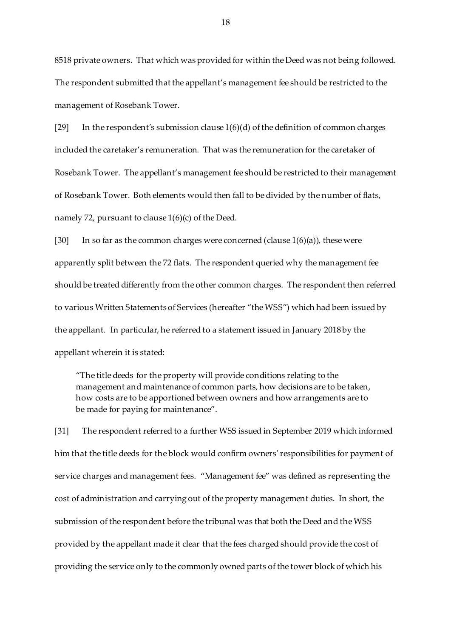8518 private owners. That which was provided for within the Deed was not being followed. The respondent submitted that the appellant's management fee should be restricted to the management of Rosebank Tower.

[29] In the respondent's submission clause 1(6)(d) of the definition of common charges included the caretaker's remuneration. That was the remuneration for the caretaker of Rosebank Tower. The appellant's management fee should be restricted to their management of Rosebank Tower. Both elements would then fall to be divided by the number of flats, namely 72, pursuant to clause 1(6)(c) of the Deed.

[30] In so far as the common charges were concerned (clause  $1(6)(a)$ ), these were apparently split between the 72 flats. The respondent queried why the management fee should be treated differently from the other common charges. The respondent then referred to various Written Statements of Services (hereafter "the WSS") which had been issued by the appellant. In particular, he referred to a statement issued in January 2018 by the appellant wherein it is stated:

"The title deeds for the property will provide conditions relating to the management and maintenance of common parts, how decisions are to be taken, how costs are to be apportioned between owners and how arrangements are to be made for paying for maintenance".

[31] The respondent referred to a further WSS issued in September 2019 which informed him that the title deeds for the block would confirm owners' responsibilities for payment of service charges and management fees. "Management fee" was defined as representing the cost of administration and carrying out of the property management duties. In short, the submission of the respondent before the tribunal was that both the Deed and the WSS provided by the appellant made it clear that the fees charged should provide the cost of providing the service only to the commonly owned parts of the tower block of which his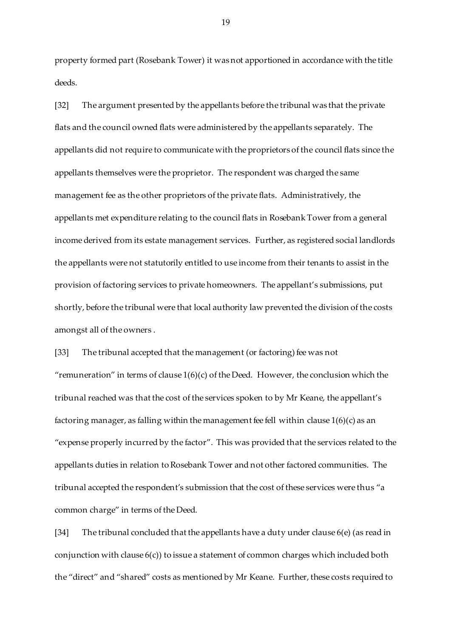property formed part (Rosebank Tower) it was not apportioned in accordance with the title deeds.

[32] The argument presented by the appellants before the tribunal was that the private flats and the council owned flats were administered by the appellants separately. The appellants did not require to communicate with the proprietors of the council flats since the appellants themselves were the proprietor. The respondent was charged the same management fee as the other proprietors of the private flats. Administratively, the appellants met expenditure relating to the council flats in Rosebank Tower from a general income derived from its estate management services. Further, as registered social landlords the appellants were not statutorily entitled to use income from their tenants to assist in the provision of factoring services to private homeowners. The appellant's submissions, put shortly, before the tribunal were that local authority law prevented the division of the costs amongst all of the owners .

[33] The tribunal accepted that the management (or factoring) fee was not "remuneration" in terms of clause  $1(6)(c)$  of the Deed. However, the conclusion which the tribunal reached was that the cost of the services spoken to by Mr Keane, the appellant's factoring manager, as falling within the management fee fell within clause 1(6)(c) as an "expense properly incurred by the factor". This was provided that the services related to the appellants duties in relation to Rosebank Tower and not other factored communities. The tribunal accepted the respondent's submission that the cost of these services were thus "a common charge" in terms of the Deed.

[34] The tribunal concluded that the appellants have a duty under clause 6(e) (as read in conjunction with clause 6(c)) to issue a statement of common charges which included both the "direct" and "shared" costs as mentioned by Mr Keane. Further, these costs required to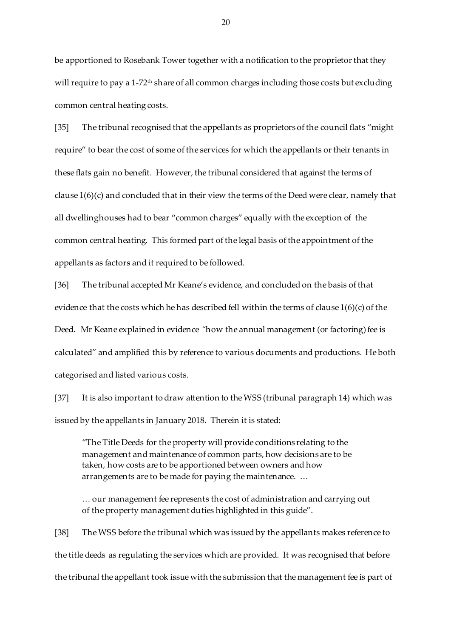be apportioned to Rosebank Tower together with a notification to the proprietor that they will require to pay a 1-72<sup>th</sup> share of all common charges including those costs but excluding common central heating costs.

[35] The tribunal recognised that the appellants as proprietors of the council flats "might require" to bear the cost of some of the services for which the appellants or their tenants in these flats gain no benefit. However, the tribunal considered that against the terms of clause 1(6)(c) and concluded that in their view the terms of the Deed were clear, namely that all dwellinghouses had to bear "common charges" equally with the exception of the common central heating. This formed part of the legal basis of the appointment of the appellants as factors and it required to be followed.

[36] The tribunal accepted Mr Keane's evidence, and concluded on the basis of that evidence that the costs which he has described fell within the terms of clause  $1(6)(c)$  of the Deed. Mr Keane explained in evidence *"*how the annual management (or factoring) fee is calculated" and amplified this by reference to various documents and productions. He both categorised and listed various costs.

[37] It is also important to draw attention to the WSS (tribunal paragraph 14) which was issued by the appellants in January 2018. Therein it is stated:

"The Title Deeds for the property will provide conditions relating to the management and maintenance of common parts, how decisions are to be taken, how costs are to be apportioned between owners and how arrangements are to be made for paying the maintenance. …

… our management fee represents the cost of administration and carrying out of the property management duties highlighted in this guide".

[38] The WSS before the tribunal which was issued by the appellants makes reference to the title deeds as regulating the services which are provided. It was recognised that before the tribunal the appellant took issue with the submission that the management fee is part of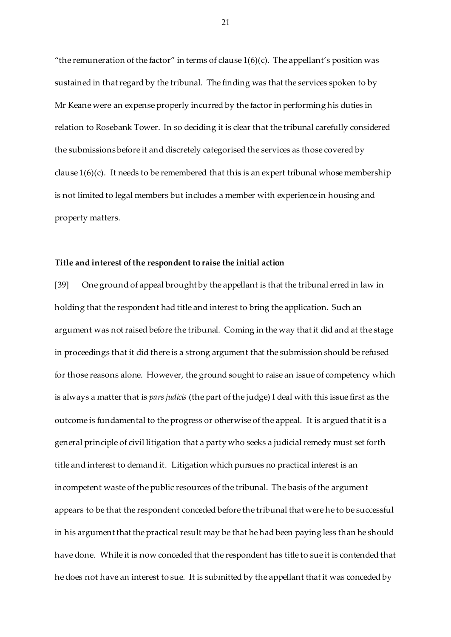"the remuneration of the factor" in terms of clause  $1(6)(c)$ . The appellant's position was sustained in that regard by the tribunal. The finding was that the services spoken to by Mr Keane were an expense properly incurred by the factor in performing his duties in relation to Rosebank Tower. In so deciding it is clear that the tribunal carefully considered the submissions before it and discretely categorised the services as those covered by clause  $1(6)(c)$ . It needs to be remembered that this is an expert tribunal whose membership is not limited to legal members but includes a member with experience in housing and property matters.

#### **Title and interest of the respondent to raise the initial action**

[39] One ground of appeal brought by the appellant is that the tribunal erred in law in holding that the respondent had title and interest to bring the application. Such an argument was not raised before the tribunal. Coming in the way that it did and at the stage in proceedings that it did there is a strong argument that the submission should be refused for those reasons alone. However, the ground sought to raise an issue of competency which is always a matter that is *pars judicis* (the part of the judge) I deal with this issue first as the outcome is fundamental to the progress or otherwise of the appeal. It is argued that it is a general principle of civil litigation that a party who seeks a judicial remedy must set forth title and interest to demand it. Litigation which pursues no practical interest is an incompetent waste of the public resources of the tribunal. The basis of the argument appears to be that the respondent conceded before the tribunal that were he to be successful in his argument that the practical result may be that he had been paying less than he should have done. While it is now conceded that the respondent has title to sue it is contended that he does not have an interest to sue. It is submitted by the appellant that it was conceded by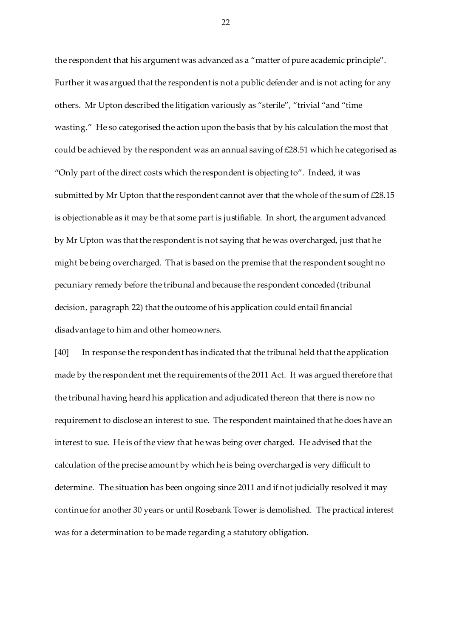the respondent that his argument was advanced as a "matter of pure academic principle". Further it was argued that the respondent is not a public defender and is not acting for any others. Mr Upton described the litigation variously as "sterile", "trivial "and "time wasting." He so categorised the action upon the basis that by his calculation the most that could be achieved by the respondent was an annual saving of £28.51 which he categorised as "Only part of the direct costs which the respondent is objecting to". Indeed, it was submitted by Mr Upton that the respondent cannot aver that the whole of the sum of £28.15 is objectionable as it may be that some part is justifiable. In short, the argument advanced by Mr Upton was that the respondent is not saying that he was overcharged, just that he might be being overcharged. That is based on the premise that the respondent sought no pecuniary remedy before the tribunal and because the respondent conceded (tribunal decision, paragraph 22) that the outcome of his application could entail financial disadvantage to him and other homeowners.

[40] In response the respondent has indicated that the tribunal held that the application made by the respondent met the requirements of the 2011 Act. It was argued therefore that the tribunal having heard his application and adjudicated thereon that there is now no requirement to disclose an interest to sue. The respondent maintained that he does have an interest to sue. He is of the view that he was being over charged. He advised that the calculation of the precise amount by which he is being overcharged is very difficult to determine. The situation has been ongoing since 2011 and if not judicially resolved it may continue for another 30 years or until Rosebank Tower is demolished. The practical interest was for a determination to be made regarding a statutory obligation.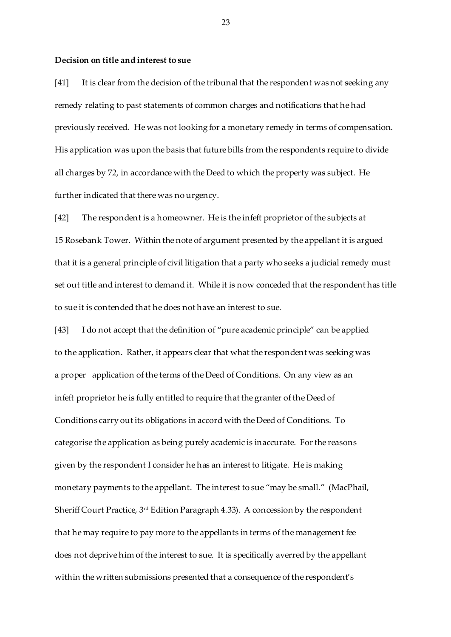#### **Decision on title and interest to sue**

[41] It is clear from the decision of the tribunal that the respondent was not seeking any remedy relating to past statements of common charges and notifications that he had previously received. He was not looking for a monetary remedy in terms of compensation. His application was upon the basis that future bills from the respondents require to divide all charges by 72, in accordance with the Deed to which the property was subject. He further indicated that there was no urgency.

[42] The respondent is a homeowner. He is the infeft proprietor of the subjects at 15 Rosebank Tower. Within the note of argument presented by the appellant it is argued that it is a general principle of civil litigation that a party who seeks a judicial remedy must set out title and interest to demand it. While it is now conceded that the respondent has title to sue it is contended that he does not have an interest to sue.

[43] I do not accept that the definition of "pure academic principle" can be applied to the application. Rather, it appears clear that what the respondent was seeking was a proper application of the terms of the Deed of Conditions. On any view as an infeft proprietor he is fully entitled to require that the granter of the Deed of Conditions carry out its obligations in accord with the Deed of Conditions. To categorise the application as being purely academic is inaccurate. For the reasons given by the respondent I consider he has an interest to litigate. He is making monetary payments to the appellant. The interest to sue "may be small." (MacPhail, Sheriff Court Practice, 3rd Edition Paragraph 4.33). A concession by the respondent that he may require to pay more to the appellants in terms of the management fee does not deprive him of the interest to sue. It is specifically averred by the appellant within the written submissions presented that a consequence of the respondent's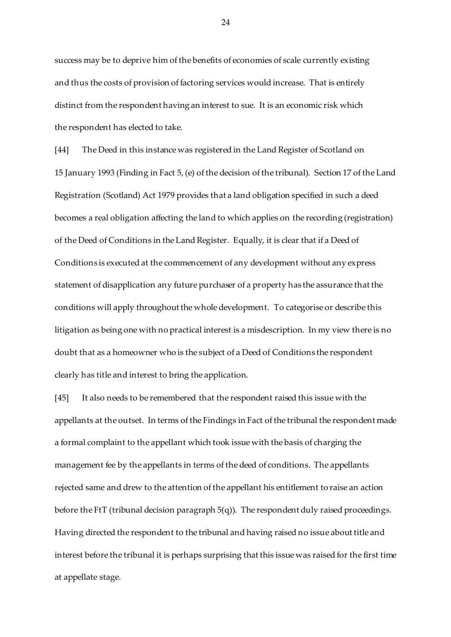success may be to deprive him of the benefits of economies of scale currently existing and thus the costs of provision of factoring services would increase. That is entirely distinct from the respondent having an interest to sue. It is an economic risk which the respondent has elected to take.

[44] The Deed in this instance was registered in the Land Register of Scotland on 15 January 1993 (Finding in Fact 5, (e) of the decision of the tribunal). Section 17 of the Land Registration (Scotland) Act 1979 provides that a land obligation specified in such a deed becomes a real obligation affecting the land to which applies on the recording (registration) of the Deed of Conditions in the Land Register. Equally, it is clear that if a Deed of Conditions is executed at the commencement of any development without any express statement of disapplication any future purchaser of a property has the assurance that the conditions will apply throughout the whole development. To categorise or describe this litigation as being one with no practical interest is a misdescription. In my view there is no doubt that as a homeowner who is the subject of a Deed of Conditions the respondent clearly has title and interest to bring the application.

[45] It also needs to be remembered that the respondent raised this issue with the appellants at the outset. In terms of the Findings in Fact of the tribunal the respondent made a formal complaint to the appellant which took issue with the basis of charging the management fee by the appellants in terms of the deed of conditions. The appellants rejected same and drew to the attention of the appellant his entitlement to raise an action before the FtT (tribunal decision paragraph 5(q)). The respondent duly raised proceedings. Having directed the respondent to the tribunal and having raised no issue about title and interest before the tribunal it is perhaps surprising that this issue was raised for the first time at appellate stage.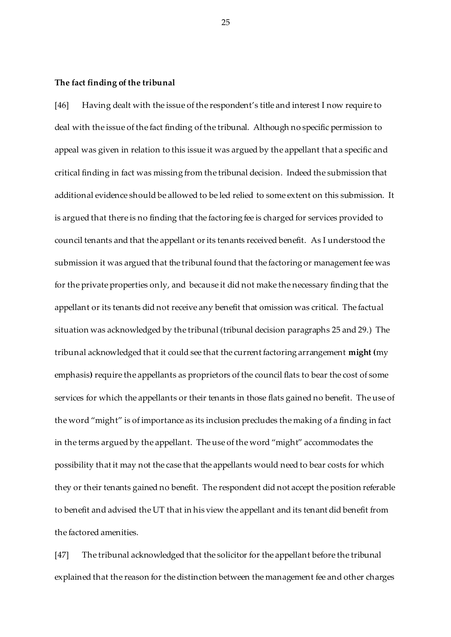## **The fact finding of the tribunal**

[46] Having dealt with the issue of the respondent's title and interest I now require to deal with the issue of the fact finding of the tribunal. Although no specific permission to appeal was given in relation to this issue it was argued by the appellant that a specific and critical finding in fact was missing from the tribunal decision. Indeed the submission that additional evidence should be allowed to be led relied to some extent on this submission. It is argued that there is no finding that the factoring fee is charged for services provided to council tenants and that the appellant or its tenants received benefit. As I understood the submission it was argued that the tribunal found that the factoring or management fee was for the private properties only, and because it did not make the necessary finding that the appellant or its tenants did not receive any benefit that omission was critical. The factual situation was acknowledged by the tribunal (tribunal decision paragraphs 25 and 29.) The tribunal acknowledged that it could see that the current factoring arrangement **might (**my emphasis**)** require the appellants as proprietors of the council flats to bear the cost of some services for which the appellants or their tenants in those flats gained no benefit. The use of the word "might" is of importance as its inclusion precludes the making of a finding in fact in the terms argued by the appellant. The use of the word "might" accommodates the possibility that it may not the case that the appellants would need to bear costs for which they or their tenants gained no benefit. The respondent did not accept the position referable to benefit and advised the UT that in his view the appellant and its tenant did benefit from the factored amenities.

[47] The tribunal acknowledged that the solicitor for the appellant before the tribunal explained that the reason for the distinction between the management fee and other charges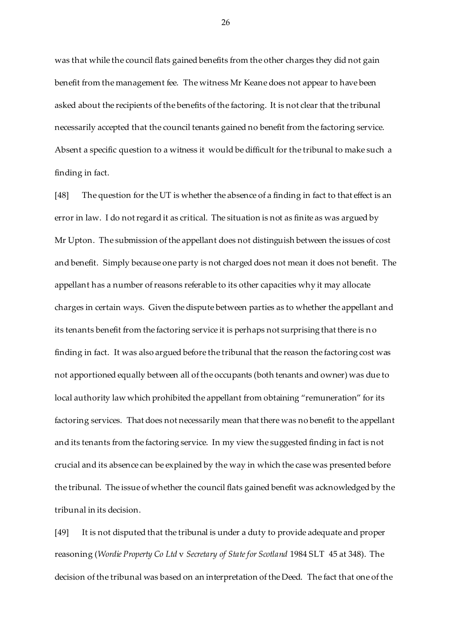was that while the council flats gained benefits from the other charges they did not gain benefit from the management fee. The witness Mr Keane does not appear to have been asked about the recipients of the benefits of the factoring. It is not clear that the tribunal necessarily accepted that the council tenants gained no benefit from the factoring service. Absent a specific question to a witness it would be difficult for the tribunal to make such a finding in fact.

[48] The question for the UT is whether the absence of a finding in fact to that effect is an error in law. I do not regard it as critical. The situation is not as finite as was argued by Mr Upton. The submission of the appellant does not distinguish between the issues of cost and benefit. Simply because one party is not charged does not mean it does not benefit. The appellant has a number of reasons referable to its other capacities why it may allocate charges in certain ways. Given the dispute between parties as to whether the appellant and its tenants benefit from the factoring service it is perhaps not surprising that there is no finding in fact. It was also argued before the tribunal that the reason the factoring cost was not apportioned equally between all of the occupants (both tenants and owner) was due to local authority law which prohibited the appellant from obtaining "remuneration" for its factoring services. That does not necessarily mean that there was no benefit to the appellant and its tenants from the factoring service. In my view the suggested finding in fact is not crucial and its absence can be explained by the way in which the case was presented before the tribunal. The issue of whether the council flats gained benefit was acknowledged by the tribunal in its decision.

[49] It is not disputed that the tribunal is under a duty to provide adequate and proper reasoning (*Wordie Property Co Ltd* v *Secretary of State for Scotland* 1984 SLT 45 at 348). The decision of the tribunal was based on an interpretation of the Deed. The fact that one of the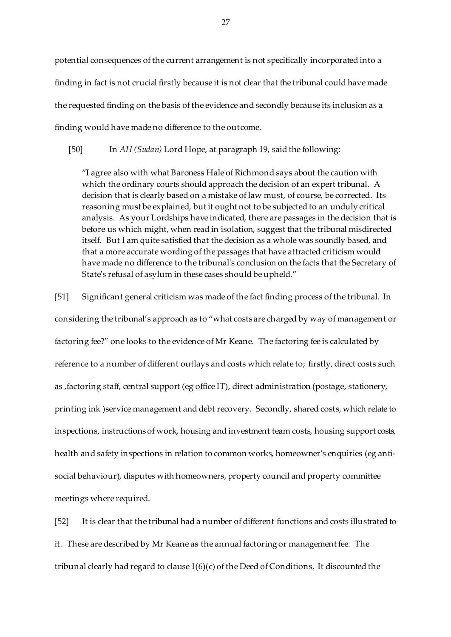potential consequences of the current arrangement is not specifically incorporated into a finding in fact is not crucial firstly because it is not clear that the tribunal could have made the requested finding on the basis of the evidence and secondly because its inclusion as a finding would have made no difference to the outcome.

[50] In *AH (Sudan)* Lord Hope, at paragraph 19, said the following:

"I agree also with what Baroness Hale of Richmond says about the caution with which the ordinary courts should approach the decision of an expert tribunal. A decision that is clearly based on a mistake of law must, of course, be corrected. Its reasoning must be explained, but it ought not to be subjected to an unduly critical analysis. As your Lordships have indicated, there are passages in the decision that is before us which might, when read in isolation, suggest that the tribunal misdirected itself. But I am quite satisfied that the decision as a whole was soundly based, and that a more accurate wording of the passages that have attracted criticism would have made no difference to the tribunal's conclusion on the facts that the Secretary of State's refusal of asylum in these cases should be upheld."

[51] Significant general criticism was made of the fact finding process of the tribunal. In considering the tribunal's approach as to "what costs are charged by way of management or factoring fee?" one looks to the evidence of Mr Keane. The factoring fee is calculated by reference to a number of different outlays and costs which relate to; firstly, direct costs such as ,factoring staff, central support (eg office IT), direct administration (postage, stationery, printing ink )service management and debt recovery. Secondly, shared costs, which relate to inspections, instructions of work, housing and investment team costs, housing support costs, health and safety inspections in relation to common works, homeowner's enquiries (eg antisocial behaviour), disputes with homeowners, property council and property committee meetings where required.

[52] It is clear that the tribunal had a number of different functions and costs illustrated to it. These are described by Mr Keane as the annual factoring or management fee. The tribunal clearly had regard to clause 1(6)(c) of the Deed of Conditions. It discounted the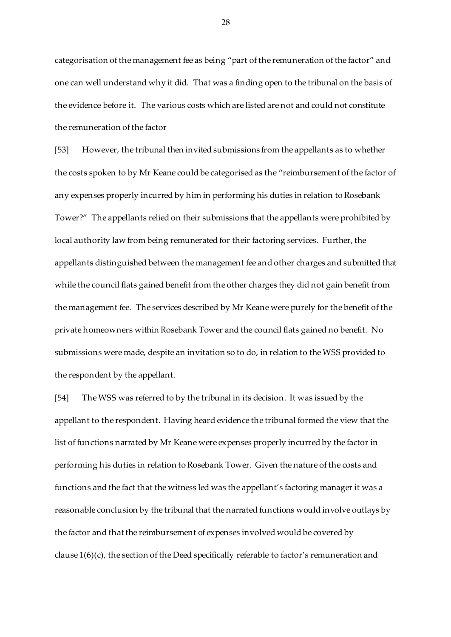categorisation of the management fee as being "part of the remuneration of the factor" and one can well understand why it did. That was a finding open to the tribunal on the basis of the evidence before it. The various costs which are listed are not and could not constitute the remuneration of the factor

[53] However, the tribunal then invited submissions from the appellants as to whether the costs spoken to by Mr Keane could be categorised as the "reimbursement of the factor of any expenses properly incurred by him in performing his duties in relation to Rosebank Tower?" The appellants relied on their submissions that the appellants were prohibited by local authority law from being remunerated for their factoring services. Further, the appellants distinguished between the management fee and other charges and submitted that while the council flats gained benefit from the other charges they did not gain benefit from the management fee. The services described by Mr Keane were purely for the benefit of the private homeowners within Rosebank Tower and the council flats gained no benefit. No submissions were made, despite an invitation so to do, in relation to the WSS provided to the respondent by the appellant.

[54] The WSS was referred to by the tribunal in its decision. It was issued by the appellant to the respondent. Having heard evidence the tribunal formed the view that the list of functions narrated by Mr Keane were expenses properly incurred by the factor in performing his duties in relation to Rosebank Tower. Given the nature of the costs and functions and the fact that the witness led was the appellant's factoring manager it was a reasonable conclusion by the tribunal that the narrated functions would involve outlays by the factor and that the reimbursement of expenses involved would be covered by clause 1(6)(c), the section of the Deed specifically referable to factor's remuneration and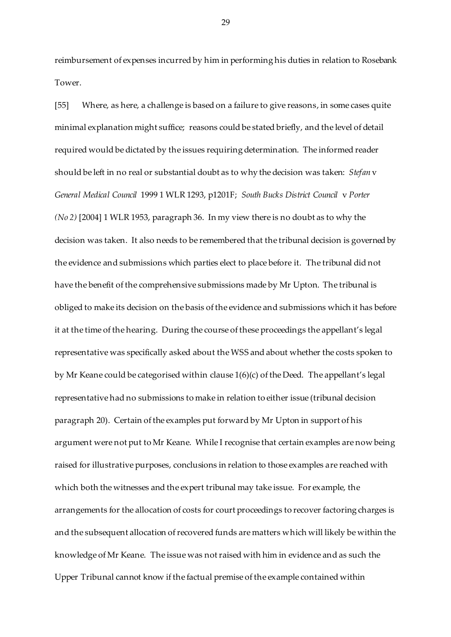reimbursement of expenses incurred by him in performing his duties in relation to Rosebank Tower.

[55] Where, as here, a challenge is based on a failure to give reasons, in some cases quite minimal explanation might suffice; reasons could be stated briefly, and the level of detail required would be dictated by the issues requiring determination. The informed reader should be left in no real or substantial doubt as to why the decision was taken: *Stefan* v *General Medical Council* 1999 1 WLR 1293, p1201F; *South Bucks District Council* v *Porter (No 2)* [2004] 1 WLR 1953, paragraph 36. In my view there is no doubt as to why the decision was taken. It also needs to be remembered that the tribunal decision is governed by the evidence and submissions which parties elect to place before it. The tribunal did not have the benefit of the comprehensive submissions made by Mr Upton. The tribunal is obliged to make its decision on the basis of the evidence and submissions which it has before it at the time of the hearing. During the course of these proceedings the appellant's legal representative was specifically asked about the WSS and about whether the costs spoken to by Mr Keane could be categorised within clause 1(6)(c) of the Deed. The appellant's legal representative had no submissions to make in relation to either issue (tribunal decision paragraph 20). Certain of the examples put forward by Mr Upton in support of his argument were not put to Mr Keane. While I recognise that certain examples are now being raised for illustrative purposes, conclusions in relation to those examples are reached with which both the witnesses and the expert tribunal may take issue. For example, the arrangements for the allocation of costs for court proceedings to recover factoring charges is and the subsequent allocation of recovered funds are matters which will likely be within the knowledge of Mr Keane. The issue was not raised with him in evidence and as such the Upper Tribunal cannot know if the factual premise of the example contained within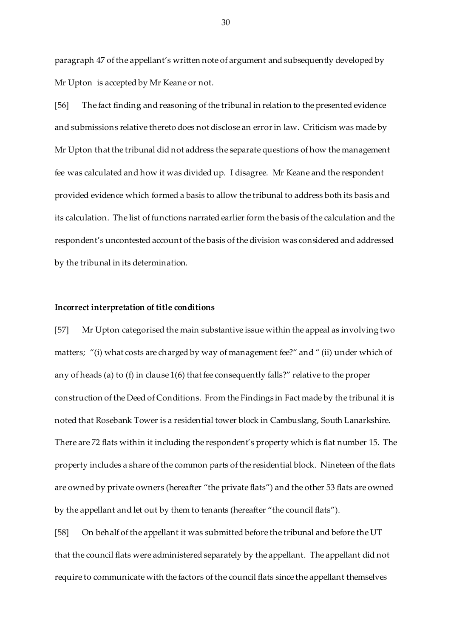paragraph 47 of the appellant's written note of argument and subsequently developed by Mr Upton is accepted by Mr Keane or not.

[56] The fact finding and reasoning of the tribunal in relation to the presented evidence and submissions relative thereto does not disclose an error in law. Criticism was made by Mr Upton that the tribunal did not address the separate questions of how the management fee was calculated and how it was divided up. I disagree. Mr Keane and the respondent provided evidence which formed a basis to allow the tribunal to address both its basis and its calculation. The list of functions narrated earlier form the basis of the calculation and the respondent's uncontested account of the basis of the division was considered and addressed by the tribunal in its determination.

#### **Incorrect interpretation of title conditions**

[57] Mr Upton categorised the main substantive issue within the appeal as involving two matters; "(i) what costs are charged by way of management fee?" and " (ii) under which of any of heads (a) to (f) in clause 1(6) that fee consequently falls?" relative to the proper construction of the Deed of Conditions. From the Findings in Fact made by the tribunal it is noted that Rosebank Tower is a residential tower block in Cambuslang, South Lanarkshire. There are 72 flats within it including the respondent's property which is flat number 15. The property includes a share of the common parts of the residential block. Nineteen of the flats are owned by private owners (hereafter "the private flats") and the other 53 flats are owned by the appellant and let out by them to tenants (hereafter "the council flats").

[58] On behalf of the appellant it was submitted before the tribunal and before the UT that the council flats were administered separately by the appellant. The appellant did not require to communicate with the factors of the council flats since the appellant themselves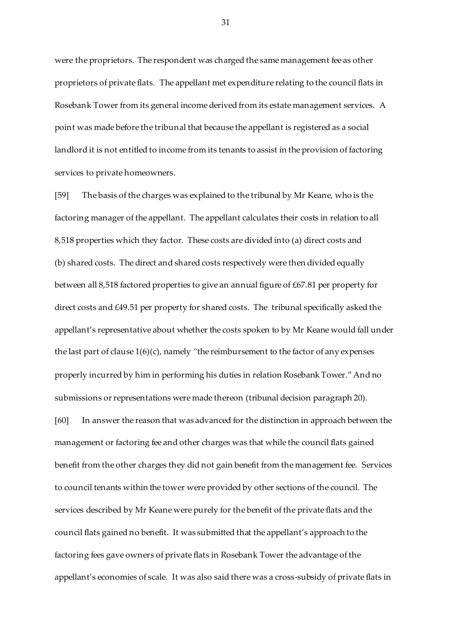were the proprietors. The respondent was charged the same management fee as other proprietors of private flats. The appellant met expenditure relating to the council flats in Rosebank Tower from its general income derived from its estate management services. A point was made before the tribunal that because the appellant is registered as a social landlord it is not entitled to income from its tenants to assist in the provision of factoring services to private homeowners.

[59] The basis of the charges was explained to the tribunal by Mr Keane, who is the factoring manager of the appellant. The appellant calculates their costs in relation to all 8,518 properties which they factor. These costs are divided into (a) direct costs and (b) shared costs. The direct and shared costs respectively were then divided equally between all 8,518 factored properties to give an annual figure of £67.81 per property for direct costs and £49.51 per property for shared costs. The tribunal specifically asked the appellant's representative about whether the costs spoken to by Mr Keane would fall under the last part of clause 1(6)(c), namely *"*the reimbursement to the factor of any expenses properly incurred by him in performing his duties in relation Rosebank Tower." And no submissions or representations were made thereon (tribunal decision paragraph 20).

[60] In answer the reason that was advanced for the distinction in approach between the management or factoring fee and other charges was that while the council flats gained benefit from the other charges they did not gain benefit from the management fee. Services to council tenants within the tower were provided by other sections of the council. The services described by Mr Keane were purely for the benefit of the private flats and the council flats gained no benefit. It was submitted that the appellant's approach to the factoring fees gave owners of private flats in Rosebank Tower the advantage of the appellant's economies of scale. It was also said there was a cross-subsidy of private flats in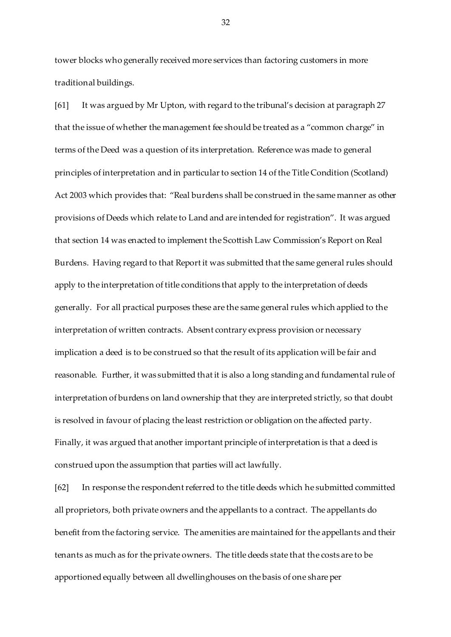tower blocks who generally received more services than factoring customers in more traditional buildings.

[61] It was argued by Mr Upton, with regard to the tribunal's decision at paragraph 27 that the issue of whether the management fee should be treated as a "common charge" in terms of the Deed was a question of its interpretation. Reference was made to general principles of interpretation and in particular to section 14 of the Title Condition (Scotland) Act 2003 which provides that: "Real burdens shall be construed in the same manner as other provisions of Deeds which relate to Land and are intended for registration". It was argued that section 14 was enacted to implement the Scottish Law Commission's Report on Real Burdens. Having regard to that Report it was submitted that the same general rules should apply to the interpretation of title conditions that apply to the interpretation of deeds generally. For all practical purposes these are the same general rules which applied to the interpretation of written contracts. Absent contrary express provision or necessary implication a deed is to be construed so that the result of its application will be fair and reasonable. Further, it was submitted that it is also a long standing and fundamental rule of interpretation of burdens on land ownership that they are interpreted strictly, so that doubt is resolved in favour of placing the least restriction or obligation on the affected party. Finally, it was argued that another important principle of interpretation is that a deed is construed upon the assumption that parties will act lawfully.

[62] In response the respondent referred to the title deeds which he submitted committed all proprietors, both private owners and the appellants to a contract. The appellants do benefit from the factoring service. The amenities are maintained for the appellants and their tenants as much as for the private owners. The title deeds state that the costs are to be apportioned equally between all dwellinghouses on the basis of one share per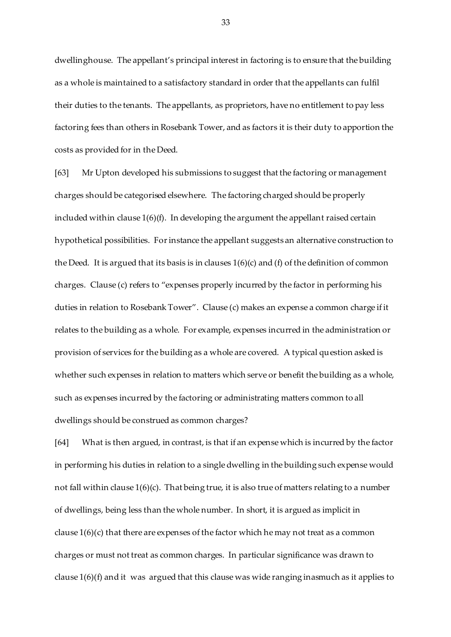dwellinghouse. The appellant's principal interest in factoring is to ensure that the building as a whole is maintained to a satisfactory standard in order that the appellants can fulfil their duties to the tenants. The appellants, as proprietors, have no entitlement to pay less factoring fees than others in Rosebank Tower, and as factors it is their duty to apportion the costs as provided for in the Deed.

[63] Mr Upton developed his submissions to suggest that the factoring or management charges should be categorised elsewhere. The factoring charged should be properly included within clause 1(6)(f). In developing the argument the appellant raised certain hypothetical possibilities. For instance the appellant suggests an alternative construction to the Deed. It is argued that its basis is in clauses 1(6)(c) and (f) of the definition of common charges. Clause (c) refers to "expenses properly incurred by the factor in performing his duties in relation to Rosebank Tower". Clause (c) makes an expense a common charge if it relates to the building as a whole. For example, expenses incurred in the administration or provision of services for the building as a whole are covered. A typical question asked is whether such expenses in relation to matters which serve or benefit the building as a whole, such as expenses incurred by the factoring or administrating matters common to all dwellings should be construed as common charges?

[64] What is then argued, in contrast, is that if an expense which is incurred by the factor in performing his duties in relation to a single dwelling in the building such expense would not fall within clause 1(6)(c). That being true, it is also true of matters relating to a number of dwellings, being less than the whole number. In short, it is argued as implicit in clause  $1(6)(c)$  that there are expenses of the factor which he may not treat as a common charges or must not treat as common charges. In particular significance was drawn to clause 1(6)(f) and it was argued that this clause was wide ranging inasmuch as it applies to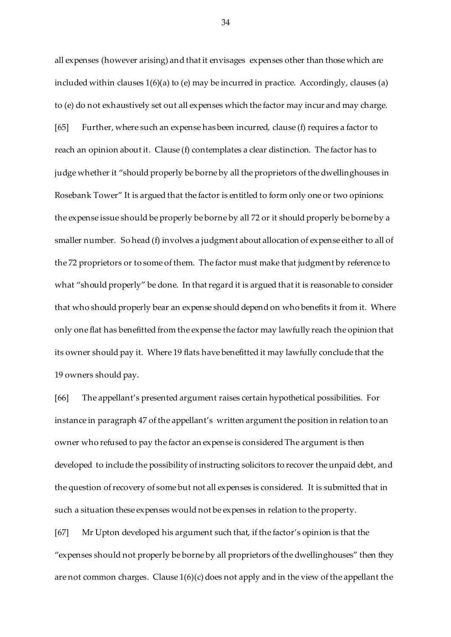all expenses (however arising) and that it envisages expenses other than those which are included within clauses 1(6)(a) to (e) may be incurred in practice. Accordingly, clauses (a) to (e) do not exhaustively set out all expenses which the factor may incur and may charge. [65] Further, where such an expense has been incurred, clause (f) requires a factor to reach an opinion about it. Clause (f) contemplates a clear distinction. The factor has to judge whether it "should properly be borne by all the proprietors of the dwellinghouses in Rosebank Tower" It is argued that the factor is entitled to form only one or two opinions: the expense issue should be properly be borne by all 72 or it should properly be borne by a smaller number. So head (f) involves a judgment about allocation of expense either to all of the 72 proprietors or to some of them. The factor must make that judgment by reference to what "should properly" be done. In that regard it is argued that it is reasonable to consider that who should properly bear an expense should depend on who benefits it from it. Where only one flat has benefitted from the expense the factor may lawfully reach the opinion that its owner should pay it. Where 19 flats have benefitted it may lawfully conclude that the 19 owners should pay.

[66] The appellant's presented argument raises certain hypothetical possibilities. For instance in paragraph 47 of the appellant's written argument the position in relation to an owner who refused to pay the factor an expense is considered The argument is then developed to include the possibility of instructing solicitors to recover the unpaid debt, and the question of recovery of some but not all expenses is considered. It is submitted that in such a situation these expenses would not be expenses in relation to the property.

[67] Mr Upton developed his argument such that, if the factor's opinion is that the "expenses should not properly be borne by all proprietors of the dwellinghouses" then they are not common charges. Clause  $1(6)(c)$  does not apply and in the view of the appellant the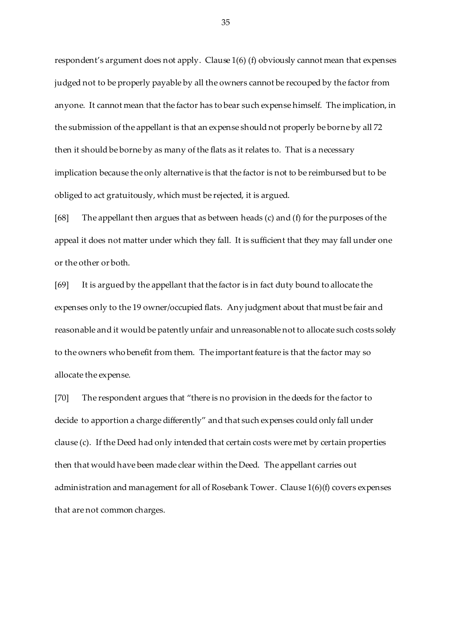respondent's argument does not apply. Clause 1(6) (f) obviously cannot mean that expenses judged not to be properly payable by all the owners cannot be recouped by the factor from anyone. It cannot mean that the factor has to bear such expense himself. The implication, in the submission of the appellant is that an expense should not properly be borne by all 72 then it should be borne by as many of the flats as it relates to. That is a necessary implication because the only alternative is that the factor is not to be reimbursed but to be obliged to act gratuitously, which must be rejected, it is argued.

[68] The appellant then argues that as between heads (c) and (f) for the purposes of the appeal it does not matter under which they fall. It is sufficient that they may fall under one or the other or both.

[69] It is argued by the appellant that the factor is in fact duty bound to allocate the expenses only to the 19 owner/occupied flats. Any judgment about that must be fair and reasonable and it would be patently unfair and unreasonable not to allocate such costs solely to the owners who benefit from them. The important feature is that the factor may so allocate the expense.

[70] The respondent argues that "there is no provision in the deeds for the factor to decide to apportion a charge differently" and that such expenses could only fall under clause (c). If the Deed had only intended that certain costs were met by certain properties then that would have been made clear within the Deed. The appellant carries out administration and management for all of Rosebank Tower. Clause 1(6)(f) covers expenses that are not common charges.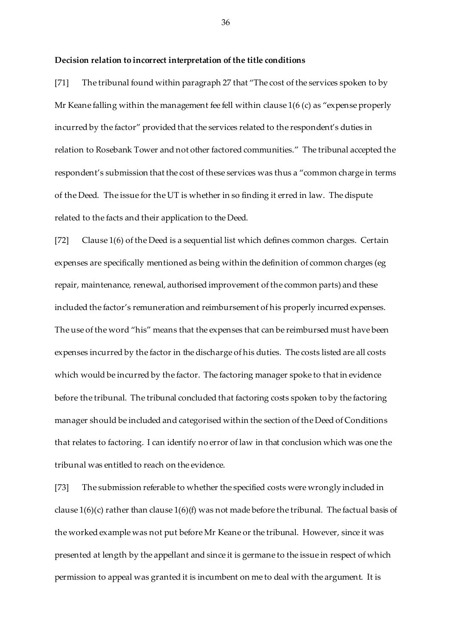## **Decision relation to incorrect interpretation of the title conditions**

[71] The tribunal found within paragraph 27 that "The cost of the services spoken to by Mr Keane falling within the management fee fell within clause 1(6 (c) as "expense properly incurred by the factor" provided that the services related to the respondent's duties in relation to Rosebank Tower and not other factored communities." The tribunal accepted the respondent's submission that the cost of these services was thus a "common charge in terms of the Deed. The issue for the UT is whether in so finding it erred in law. The dispute related to the facts and their application to the Deed.

[72] Clause 1(6) of the Deed is a sequential list which defines common charges. Certain expenses are specifically mentioned as being within the definition of common charges (eg repair, maintenance, renewal, authorised improvement of the common parts) and these included the factor's remuneration and reimbursement of his properly incurred expenses. The use of the word "his" means that the expenses that can be reimbursed must have been expenses incurred by the factor in the discharge of his duties. The costs listed are all costs which would be incurred by the factor. The factoring manager spoke to that in evidence before the tribunal. The tribunal concluded that factoring costs spoken to by the factoring manager should be included and categorised within the section of the Deed of Conditions that relates to factoring. I can identify no error of law in that conclusion which was one the tribunal was entitled to reach on the evidence.

[73] The submission referable to whether the specified costs were wrongly included in clause 1(6)(c) rather than clause 1(6)(f) was not made before the tribunal. The factual basis of the worked example was not put before Mr Keane or the tribunal. However, since it was presented at length by the appellant and since it is germane to the issue in respect of which permission to appeal was granted it is incumbent on me to deal with the argument. It is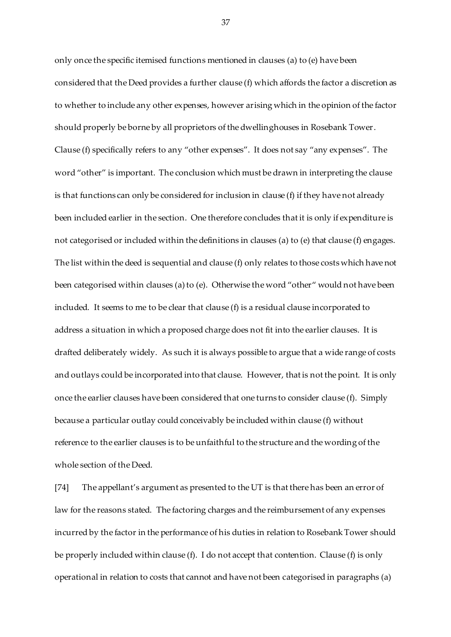only once the specific itemised functions mentioned in clauses (a) to (e) have been considered that the Deed provides a further clause (f) which affords the factor a discretion as to whether to include any other expenses, however arising which in the opinion of the factor should properly be borne by all proprietors of the dwellinghouses in Rosebank Tower. Clause (f) specifically refers to any "other expenses". It does not say "any expenses". The word "other" is important. The conclusion which must be drawn in interpreting the clause is that functions can only be considered for inclusion in clause (f) if they have not already been included earlier in the section. One therefore concludes that it is only if expenditure is not categorised or included within the definitions in clauses (a) to (e) that clause (f) engages. The list within the deed is sequential and clause (f) only relates to those costs which have not been categorised within clauses (a) to (e). Otherwise the word "other" would not have been included. It seems to me to be clear that clause (f) is a residual clause incorporated to address a situation in which a proposed charge does not fit into the earlier clauses. It is drafted deliberately widely. As such it is always possible to argue that a wide range of costs and outlays could be incorporated into that clause. However, that is not the point. It is only once the earlier clauses have been considered that one turns to consider clause (f). Simply because a particular outlay could conceivably be included within clause (f) without reference to the earlier clauses is to be unfaithful to the structure and the wording of the whole section of the Deed.

[74] The appellant's argument as presented to the UT is that there has been an error of law for the reasons stated. The factoring charges and the reimbursement of any expenses incurred by the factor in the performance of his duties in relation to Rosebank Tower should be properly included within clause (f). I do not accept that contention. Clause (f) is only operational in relation to costs that cannot and have not been categorised in paragraphs (a)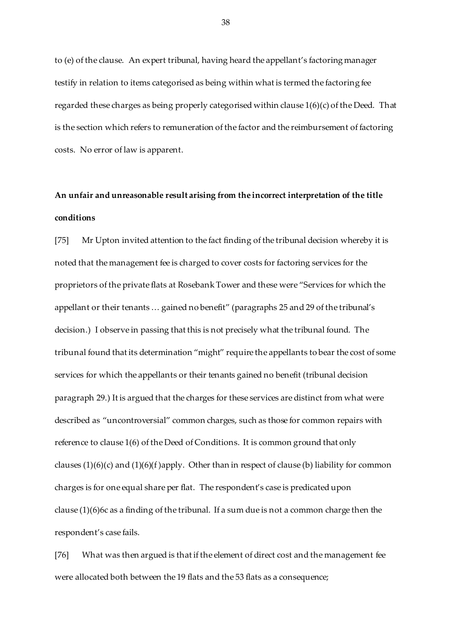to (e) of the clause. An expert tribunal, having heard the appellant's factoring manager testify in relation to items categorised as being within what is termed the factoring fee regarded these charges as being properly categorised within clause 1(6)(c) of the Deed. That is the section which refers to remuneration of the factor and the reimbursement of factoring costs. No error of law is apparent.

# **An unfair and unreasonable result arising from the incorrect interpretation of the title conditions**

[75] Mr Upton invited attention to the fact finding of the tribunal decision whereby it is noted that the management fee is charged to cover costs for factoring services for the proprietors of the private flats at Rosebank Tower and these were "Services for which the appellant or their tenants … gained no benefit" (paragraphs 25 and 29 of the tribunal's decision.) I observe in passing that this is not precisely what the tribunal found. The tribunal found that its determination "might" require the appellants to bear the cost of some services for which the appellants or their tenants gained no benefit (tribunal decision paragraph 29.) It is argued that the charges for these services are distinct from what were described as "uncontroversial" common charges, such as those for common repairs with reference to clause 1(6) of the Deed of Conditions. It is common ground that only clauses  $(1)(6)(c)$  and  $(1)(6)(f)$ apply. Other than in respect of clause (b) liability for common charges is for one equal share per flat. The respondent's case is predicated upon clause (1)(6)6c as a finding of the tribunal. If a sum due is not a common charge then the respondent's case fails.

[76] What was then argued is that if the element of direct cost and the management fee were allocated both between the 19 flats and the 53 flats as a consequence;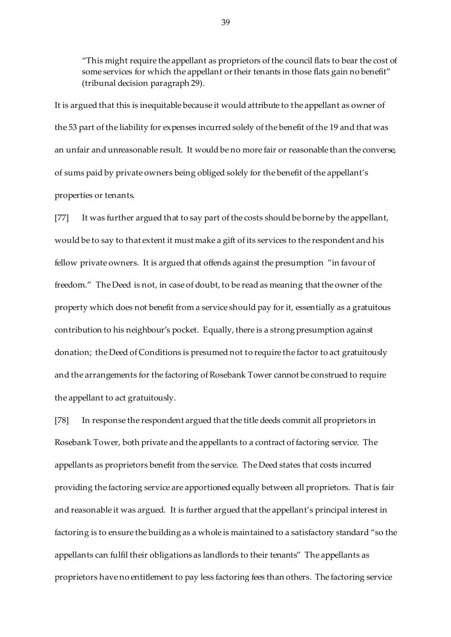"This might require the appellant as proprietors of the council flats to bear the cost of some services for which the appellant or their tenants in those flats gain no benefit" (tribunal decision paragraph 29).

It is argued that this is inequitable because it would attribute to the appellant as owner of the 53 part of the liability for expenses incurred solely of the benefit of the 19 and that was an unfair and unreasonable result. It would be no more fair or reasonable than the converse, of sums paid by private owners being obliged solely for the benefit of the appellant's properties or tenants.

[77] It was further argued that to say part of the costs should be borne by the appellant, would be to say to that extent it must make a gift of its services to the respondent and his fellow private owners. It is argued that offends against the presumption "in favour of freedom." The Deed is not, in case of doubt, to be read as meaning that the owner of the property which does not benefit from a service should pay for it, essentially as a gratuitous contribution to his neighbour's pocket. Equally, there is a strong presumption against donation; the Deed of Conditions is presumed not to require the factor to act gratuitously and the arrangements for the factoring of Rosebank Tower cannot be construed to require the appellant to act gratuitously.

[78] In response the respondent argued that the title deeds commit all proprietors in Rosebank Tower, both private and the appellants to a contract of factoring service. The appellants as proprietors benefit from the service. The Deed states that costs incurred providing the factoring service are apportioned equally between all proprietors. That is fair and reasonable it was argued. It is further argued that the appellant's principal interest in factoring is to ensure the building as a whole is maintained to a satisfactory standard "so the appellants can fulfil their obligations as landlords to their tenants" The appellants as proprietors have no entitlement to pay less factoring fees than others. The factoring service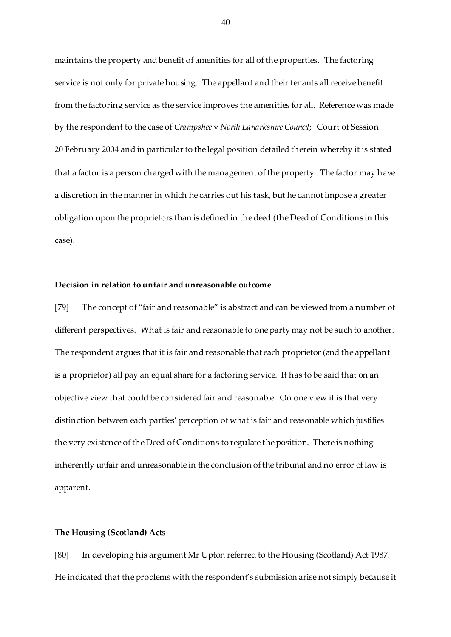maintains the property and benefit of amenities for all of the properties. The factoring service is not only for private housing. The appellant and their tenants all receive benefit from the factoring service as the service improves the amenities for all. Reference was made by the respondent to the case of *Crampshee* v *North Lanarkshire Council*;Court of Session 20 February 2004 and in particular to the legal position detailed therein whereby it is stated that a factor is a person charged with the management of the property. The factor may have a discretion in the manner in which he carries out his task, but he cannot impose a greater obligation upon the proprietors than is defined in the deed (the Deed of Conditions in this case).

## **Decision in relation to unfair and unreasonable outcome**

[79] The concept of "fair and reasonable" is abstract and can be viewed from a number of different perspectives. What is fair and reasonable to one party may not be such to another. The respondent argues that it is fair and reasonable that each proprietor (and the appellant is a proprietor) all pay an equal share for a factoring service. It has to be said that on an objective view that could be considered fair and reasonable. On one view it is that very distinction between each parties' perception of what is fair and reasonable which justifies the very existence of the Deed of Conditions to regulate the position. There is nothing inherently unfair and unreasonable in the conclusion of the tribunal and no error of law is apparent.

#### **The Housing (Scotland) Acts**

[80] In developing his argument Mr Upton referred to the Housing (Scotland) Act 1987. He indicated that the problems with the respondent's submission arise not simply because it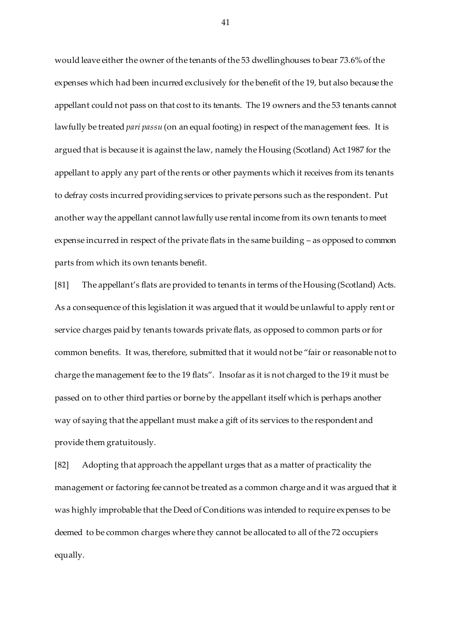would leave either the owner of the tenants of the 53 dwellinghouses to bear 73.6% of the expenses which had been incurred exclusively for the benefit of the 19, but also because the appellant could not pass on that cost to its tenants. The 19 owners and the 53 tenants cannot lawfully be treated *pari passu* (on an equal footing) in respect of the management fees. It is argued that is because it is against the law, namely the Housing (Scotland) Act 1987 for the appellant to apply any part of the rents or other payments which it receives from its tenants to defray costs incurred providing services to private persons such as the respondent. Put another way the appellant cannot lawfully use rental income from its own tenants to meet expense incurred in respect of the private flats in the same building – as opposed to common parts from which its own tenants benefit.

[81] The appellant's flats are provided to tenants in terms of the Housing (Scotland) Acts. As a consequence of this legislation it was argued that it would be unlawful to apply rent or service charges paid by tenants towards private flats, as opposed to common parts or for common benefits. It was, therefore, submitted that it would not be "fair or reasonable not to charge the management fee to the 19 flats". Insofar as it is not charged to the 19 it must be passed on to other third parties or borne by the appellant itself which is perhaps another way of saying that the appellant must make a gift of its services to the respondent and provide them gratuitously.

[82] Adopting that approach the appellant urges that as a matter of practicality the management or factoring fee cannot be treated as a common charge and it was argued that it was highly improbable that the Deed of Conditions was intended to require expenses to be deemed to be common charges where they cannot be allocated to all of the 72 occupiers equally.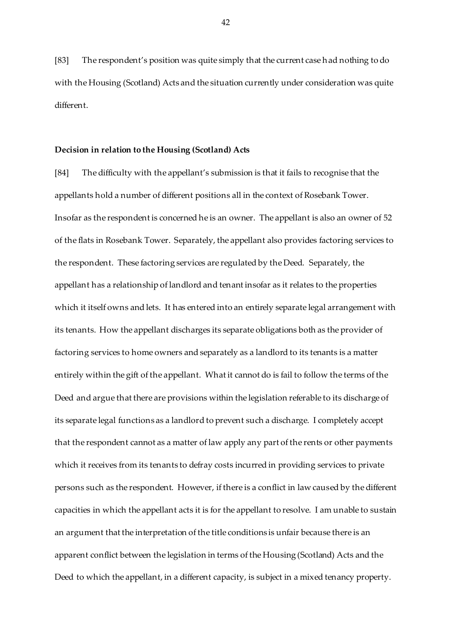[83] The respondent's position was quite simply that the current case had nothing to do with the Housing (Scotland) Acts and the situation currently under consideration was quite different.

#### **Decision in relation to the Housing (Scotland) Acts**

[84] The difficulty with the appellant's submission is that it fails to recognise that the appellants hold a number of different positions all in the context of Rosebank Tower. Insofar as the respondent is concerned he is an owner. The appellant is also an owner of 52 of the flats in Rosebank Tower. Separately, the appellant also provides factoring services to the respondent. These factoring services are regulated by the Deed. Separately, the appellant has a relationship of landlord and tenant insofar as it relates to the properties which it itself owns and lets. It has entered into an entirely separate legal arrangement with its tenants. How the appellant discharges its separate obligations both as the provider of factoring services to home owners and separately as a landlord to its tenants is a matter entirely within the gift of the appellant. What it cannot do is fail to follow the terms of the Deed and argue that there are provisions within the legislation referable to its discharge of its separate legal functions as a landlord to prevent such a discharge. I completely accept that the respondent cannot as a matter of law apply any part of the rents or other payments which it receives from its tenants to defray costs incurred in providing services to private persons such as the respondent. However, if there is a conflict in law caused by the different capacities in which the appellant acts it is for the appellant to resolve. I am unable to sustain an argument that the interpretation of the title conditions is unfair because there is an apparent conflict between the legislation in terms of the Housing (Scotland) Acts and the Deed to which the appellant, in a different capacity, is subject in a mixed tenancy property.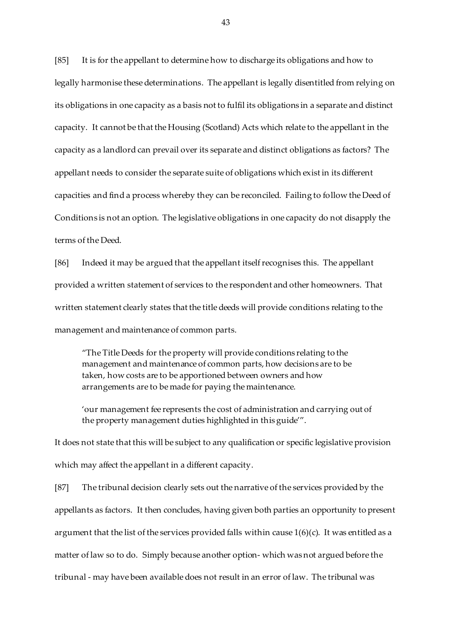[85] It is for the appellant to determine how to discharge its obligations and how to legally harmonise these determinations. The appellant is legally disentitled from relying on its obligations in one capacity as a basis not to fulfil its obligations in a separate and distinct capacity. It cannot be that the Housing (Scotland) Acts which relate to the appellant in the capacity as a landlord can prevail over its separate and distinct obligations as factors? The appellant needs to consider the separate suite of obligations which exist in its different capacities and find a process whereby they can be reconciled. Failing to follow the Deed of Conditions is not an option. The legislative obligations in one capacity do not disapply the terms of the Deed.

[86] Indeed it may be argued that the appellant itself recognises this. The appellant provided a written statement of services to the respondent and other homeowners. That written statement clearly states that the title deeds will provide conditions relating to the management and maintenance of common parts.

"The Title Deeds for the property will provide conditions relating to the management and maintenance of common parts, how decisions are to be taken, how costs are to be apportioned between owners and how arrangements are to be made for paying the maintenance.

'our management fee represents the cost of administration and carrying out of the property management duties highlighted in this guide'".

It does not state that this will be subject to any qualification or specific legislative provision which may affect the appellant in a different capacity.

[87] The tribunal decision clearly sets out the narrative of the services provided by the appellants as factors. It then concludes, having given both parties an opportunity to present argument that the list of the services provided falls within cause  $1(6)(c)$ . It was entitled as a matter of law so to do. Simply because another option- which was not argued before the tribunal - may have been available does not result in an error of law. The tribunal was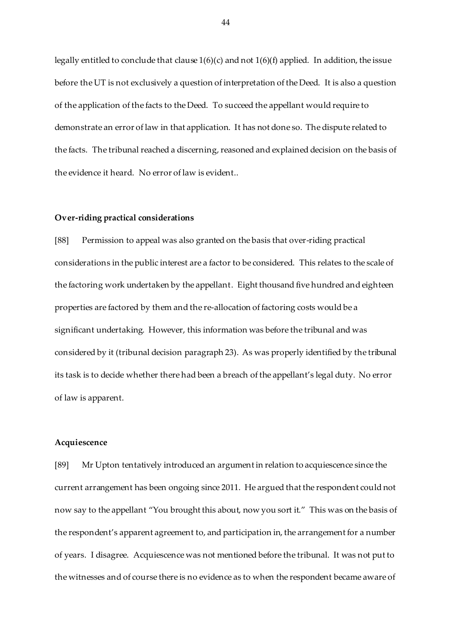legally entitled to conclude that clause 1(6)(c) and not 1(6)(f) applied. In addition, the issue before the UT is not exclusively a question of interpretation of the Deed. It is also a question of the application of the facts to the Deed. To succeed the appellant would require to demonstrate an error of law in that application. It has not done so. The dispute related to the facts. The tribunal reached a discerning, reasoned and explained decision on the basis of the evidence it heard. No error of law is evident..

#### **Over-riding practical considerations**

[88] Permission to appeal was also granted on the basis that over-riding practical considerations in the public interest are a factor to be considered. This relates to the scale of the factoring work undertaken by the appellant. Eight thousand five hundred and eighteen properties are factored by them and the re-allocation of factoring costs would be a significant undertaking. However, this information was before the tribunal and was considered by it (tribunal decision paragraph 23). As was properly identified by the tribunal its task is to decide whether there had been a breach of the appellant's legal duty. No error of law is apparent.

## **Acquiescence**

[89] Mr Upton tentatively introduced an argument in relation to acquiescence since the current arrangement has been ongoing since 2011. He argued that the respondent could not now say to the appellant "You brought this about, now you sort it." This was on the basis of the respondent's apparent agreement to, and participation in, the arrangement for a number of years. I disagree. Acquiescence was not mentioned before the tribunal. It was not put to the witnesses and of course there is no evidence as to when the respondent became aware of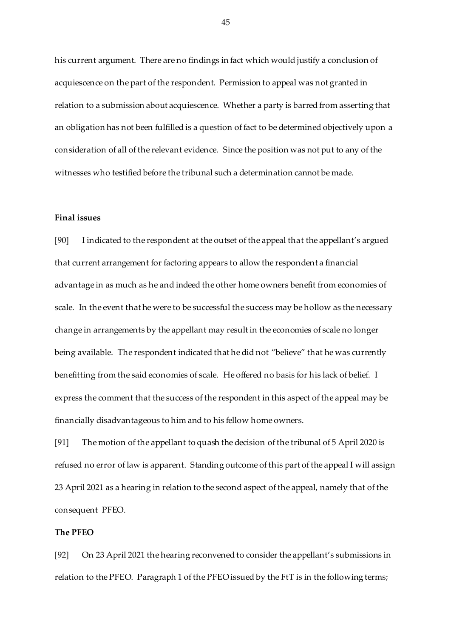his current argument. There are no findings in fact which would justify a conclusion of acquiescence on the part of the respondent. Permission to appeal was not granted in relation to a submission about acquiescence. Whether a party is barred from asserting that an obligation has not been fulfilled is a question of fact to be determined objectively upon a consideration of all of the relevant evidence. Since the position was not put to any of the witnesses who testified before the tribunal such a determination cannot be made.

## **Final issues**

[90] I indicated to the respondent at the outset of the appeal that the appellant's argued that current arrangement for factoring appears to allow the respondent a financial advantage in as much as he and indeed the other home owners benefit from economies of scale. In the event that he were to be successful the success may be hollow as the necessary change in arrangements by the appellant may result in the economies of scale no longer being available. The respondent indicated that he did not "believe" that he was currently benefitting from the said economies of scale. He offered no basis for his lack of belief. I express the comment that the success of the respondent in this aspect of the appeal may be financially disadvantageous to him and to his fellow home owners.

[91] The motion of the appellant to quash the decision of the tribunal of 5 April 2020 is refused no error of law is apparent. Standing outcome of this part of the appeal I will assign 23 April 2021 as a hearing in relation to the second aspect of the appeal, namely that of the consequent PFEO.

## **The PFEO**

[92] On 23 April 2021 the hearing reconvened to consider the appellant's submissions in relation to the PFEO. Paragraph 1 of the PFEO issued by the FtT is in the following terms;